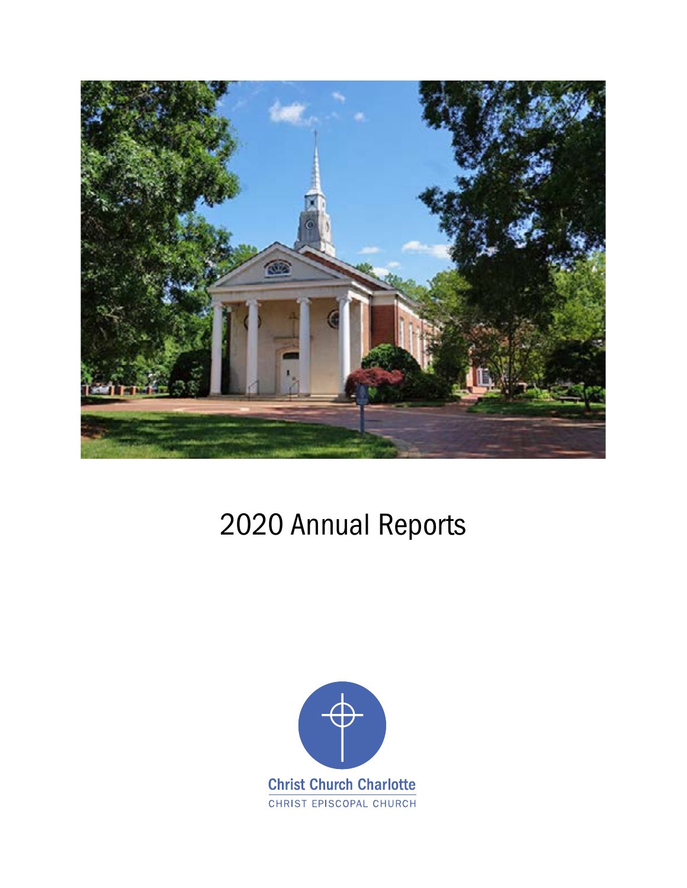

# 2020 Annual Reports

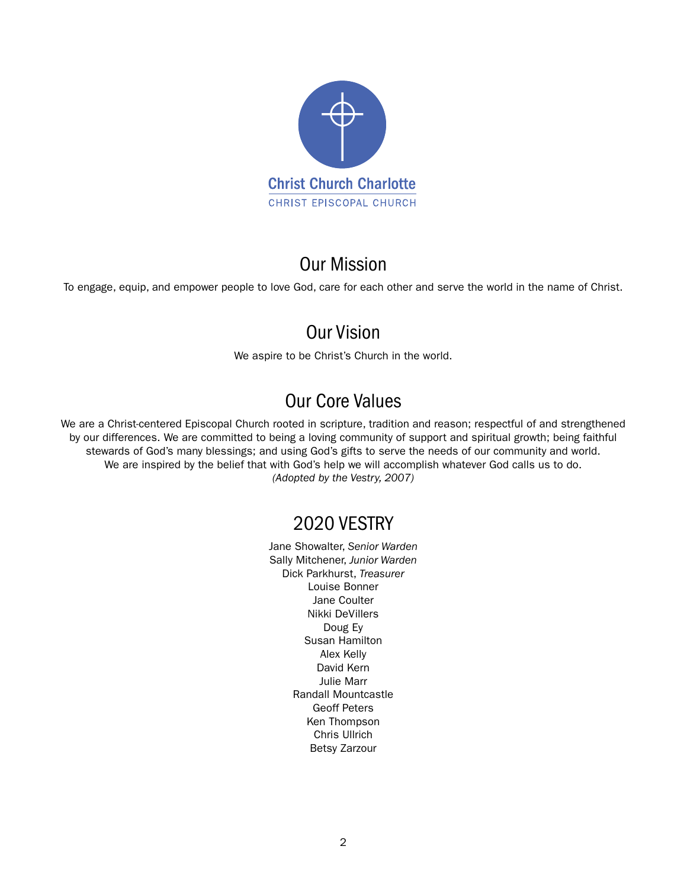

### Our Mission

To engage, equip, and empower people to love God, care for each other and serve the world in the name of Christ.

### Our Vision

We aspire to be Christ's Church in the world.

# Our Core Values

We are a Christ-centered Episcopal Church rooted in scripture, tradition and reason; respectful of and strengthened by our differences. We are committed to being a loving community of support and spiritual growth; being faithful stewards of God's many blessings; and using God's gifts to serve the needs of our community and world. We are inspired by the belief that with God's help we will accomplish whatever God calls us to do. *(Adopted by the Vestry, 2007)*

### 2020 VESTRY

Jane Showalter, *Senior Warden* Sally Mitchener, *Junior Warden* Dick Parkhurst, *Treasurer* Louise Bonner Jane Coulter Nikki DeVillers Doug Ey Susan Hamilton Alex Kelly David Kern Julie Marr Randall Mountcastle Geoff Peters Ken Thompson Chris Ullrich Betsy Zarzour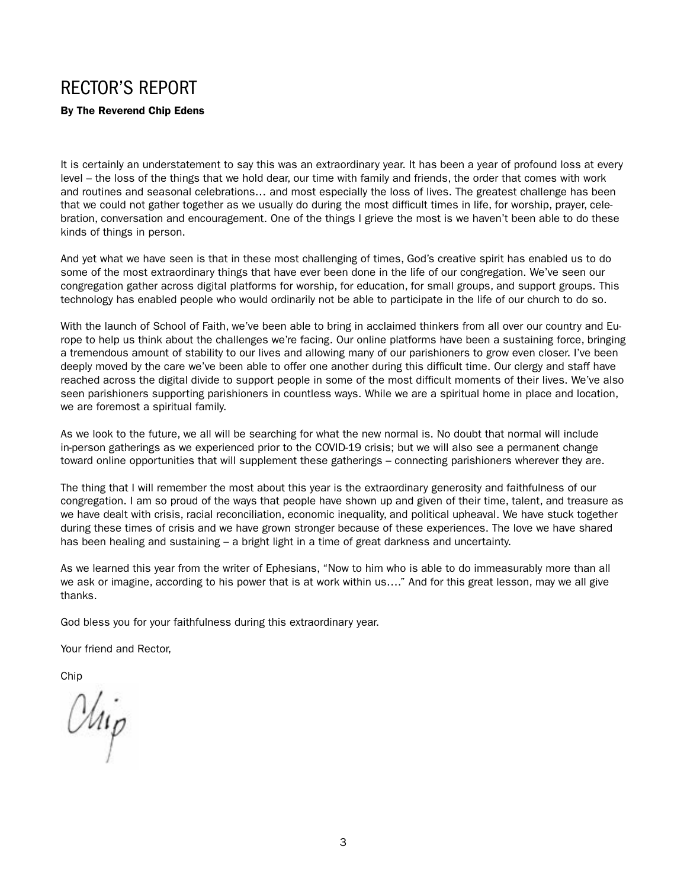# RECTOR'S REPORT

By The Reverend Chip Edens

It is certainly an understatement to say this was an extraordinary year. It has been a year of profound loss at every level – the loss of the things that we hold dear, our time with family and friends, the order that comes with work and routines and seasonal celebrations… and most especially the loss of lives. The greatest challenge has been that we could not gather together as we usually do during the most difficult times in life, for worship, prayer, celebration, conversation and encouragement. One of the things I grieve the most is we haven't been able to do these kinds of things in person.

And yet what we have seen is that in these most challenging of times, God's creative spirit has enabled us to do some of the most extraordinary things that have ever been done in the life of our congregation. We've seen our congregation gather across digital platforms for worship, for education, for small groups, and support groups. This technology has enabled people who would ordinarily not be able to participate in the life of our church to do so.

With the launch of School of Faith, we've been able to bring in acclaimed thinkers from all over our country and Europe to help us think about the challenges we're facing. Our online platforms have been a sustaining force, bringing a tremendous amount of stability to our lives and allowing many of our parishioners to grow even closer. I've been deeply moved by the care we've been able to offer one another during this difficult time. Our clergy and staff have reached across the digital divide to support people in some of the most difficult moments of their lives. We've also seen parishioners supporting parishioners in countless ways. While we are a spiritual home in place and location, we are foremost a spiritual family.

As we look to the future, we all will be searching for what the new normal is. No doubt that normal will include in-person gatherings as we experienced prior to the COVID-19 crisis; but we will also see a permanent change toward online opportunities that will supplement these gatherings – connecting parishioners wherever they are.

The thing that I will remember the most about this year is the extraordinary generosity and faithfulness of our congregation. I am so proud of the ways that people have shown up and given of their time, talent, and treasure as we have dealt with crisis, racial reconciliation, economic inequality, and political upheaval. We have stuck together during these times of crisis and we have grown stronger because of these experiences. The love we have shared has been healing and sustaining – a bright light in a time of great darkness and uncertainty.

As we learned this year from the writer of Ephesians, "Now to him who is able to do immeasurably more than all we ask or imagine, according to his power that is at work within us…." And for this great lesson, may we all give thanks.

God bless you for your faithfulness during this extraordinary year.

Your friend and Rector,

Chip

Chip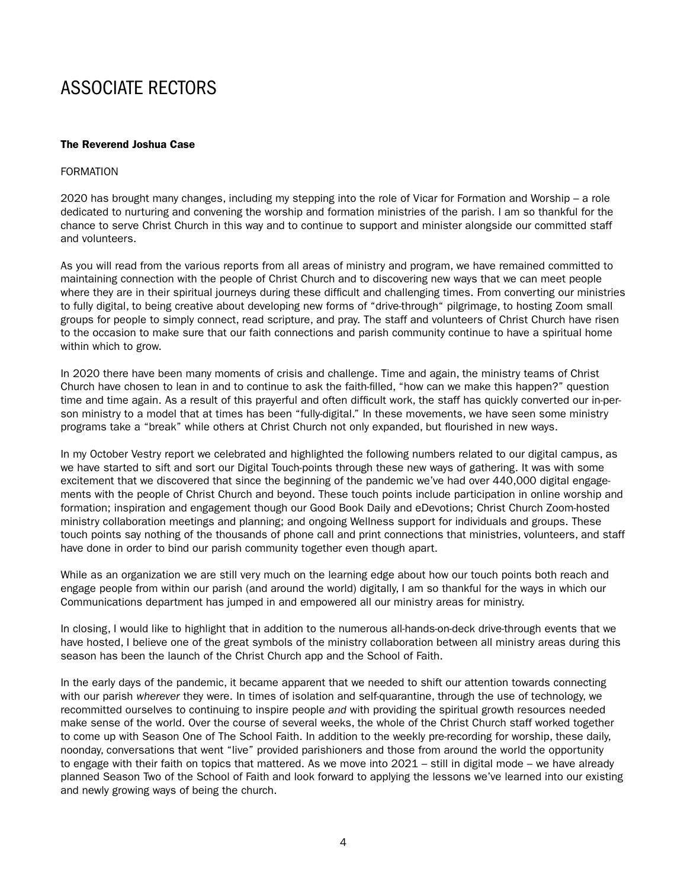# ASSOCIATE RECTORS

### The Reverend Joshua Case

#### FORMATION

2020 has brought many changes, including my stepping into the role of Vicar for Formation and Worship – a role dedicated to nurturing and convening the worship and formation ministries of the parish. I am so thankful for the chance to serve Christ Church in this way and to continue to support and minister alongside our committed staff and volunteers.

As you will read from the various reports from all areas of ministry and program, we have remained committed to maintaining connection with the people of Christ Church and to discovering new ways that we can meet people where they are in their spiritual journeys during these difficult and challenging times. From converting our ministries to fully digital, to being creative about developing new forms of "drive-through" pilgrimage, to hosting Zoom small groups for people to simply connect, read scripture, and pray. The staff and volunteers of Christ Church have risen to the occasion to make sure that our faith connections and parish community continue to have a spiritual home within which to grow.

In 2020 there have been many moments of crisis and challenge. Time and again, the ministry teams of Christ Church have chosen to lean in and to continue to ask the faith-filled, "how can we make this happen?" question time and time again. As a result of this prayerful and often difficult work, the staff has quickly converted our in-person ministry to a model that at times has been "fully-digital." In these movements, we have seen some ministry programs take a "break" while others at Christ Church not only expanded, but flourished in new ways.

In my October Vestry report we celebrated and highlighted the following numbers related to our digital campus, as we have started to sift and sort our Digital Touch-points through these new ways of gathering. It was with some excitement that we discovered that since the beginning of the pandemic we've had over 440,000 digital engagements with the people of Christ Church and beyond. These touch points include participation in online worship and formation; inspiration and engagement though our Good Book Daily and eDevotions; Christ Church Zoom-hosted ministry collaboration meetings and planning; and ongoing Wellness support for individuals and groups. These touch points say nothing of the thousands of phone call and print connections that ministries, volunteers, and staff have done in order to bind our parish community together even though apart.

While as an organization we are still very much on the learning edge about how our touch points both reach and engage people from within our parish (and around the world) digitally, I am so thankful for the ways in which our Communications department has jumped in and empowered all our ministry areas for ministry.

In closing, I would like to highlight that in addition to the numerous all-hands-on-deck drive-through events that we have hosted, I believe one of the great symbols of the ministry collaboration between all ministry areas during this season has been the launch of the Christ Church app and the School of Faith.

In the early days of the pandemic, it became apparent that we needed to shift our attention towards connecting with our parish *wherever* they were. In times of isolation and self-quarantine, through the use of technology, we recommitted ourselves to continuing to inspire people *and* with providing the spiritual growth resources needed make sense of the world. Over the course of several weeks, the whole of the Christ Church staff worked together to come up with Season One of The School Faith. In addition to the weekly pre-recording for worship, these daily, noonday, conversations that went "live" provided parishioners and those from around the world the opportunity to engage with their faith on topics that mattered. As we move into 2021 – still in digital mode – we have already planned Season Two of the School of Faith and look forward to applying the lessons we've learned into our existing and newly growing ways of being the church.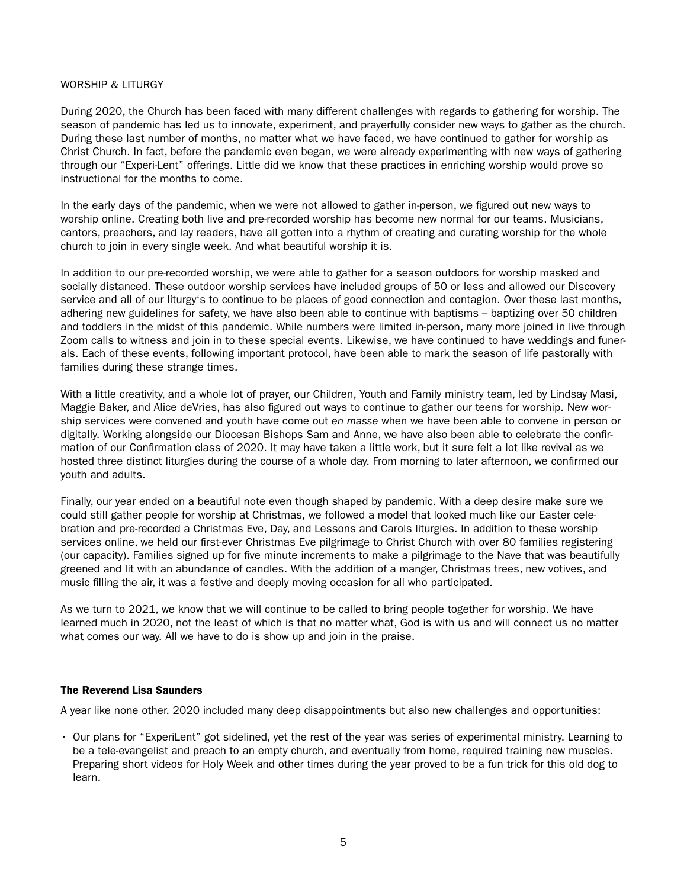#### WORSHIP & LITURGY

During 2020, the Church has been faced with many different challenges with regards to gathering for worship. The season of pandemic has led us to innovate, experiment, and prayerfully consider new ways to gather as the church. During these last number of months, no matter what we have faced, we have continued to gather for worship as Christ Church. In fact, before the pandemic even began, we were already experimenting with new ways of gathering through our "Experi-Lent" offerings. Little did we know that these practices in enriching worship would prove so instructional for the months to come.

In the early days of the pandemic, when we were not allowed to gather in-person, we figured out new ways to worship online. Creating both live and pre-recorded worship has become new normal for our teams. Musicians, cantors, preachers, and lay readers, have all gotten into a rhythm of creating and curating worship for the whole church to join in every single week. And what beautiful worship it is.

In addition to our pre-recorded worship, we were able to gather for a season outdoors for worship masked and socially distanced. These outdoor worship services have included groups of 50 or less and allowed our Discovery service and all of our liturgy's to continue to be places of good connection and contagion. Over these last months, adhering new guidelines for safety, we have also been able to continue with baptisms – baptizing over 50 children and toddlers in the midst of this pandemic. While numbers were limited in-person, many more joined in live through Zoom calls to witness and join in to these special events. Likewise, we have continued to have weddings and funerals. Each of these events, following important protocol, have been able to mark the season of life pastorally with families during these strange times.

With a little creativity, and a whole lot of prayer, our Children, Youth and Family ministry team, led by Lindsay Masi, Maggie Baker, and Alice deVries, has also figured out ways to continue to gather our teens for worship. New worship services were convened and youth have come out *en masse* when we have been able to convene in person or digitally. Working alongside our Diocesan Bishops Sam and Anne, we have also been able to celebrate the confirmation of our Confirmation class of 2020. It may have taken a little work, but it sure felt a lot like revival as we hosted three distinct liturgies during the course of a whole day. From morning to later afternoon, we confirmed our youth and adults.

Finally, our year ended on a beautiful note even though shaped by pandemic. With a deep desire make sure we could still gather people for worship at Christmas, we followed a model that looked much like our Easter celebration and pre-recorded a Christmas Eve, Day, and Lessons and Carols liturgies. In addition to these worship services online, we held our first-ever Christmas Eve pilgrimage to Christ Church with over 80 families registering (our capacity). Families signed up for five minute increments to make a pilgrimage to the Nave that was beautifully greened and lit with an abundance of candles. With the addition of a manger, Christmas trees, new votives, and music filling the air, it was a festive and deeply moving occasion for all who participated.

As we turn to 2021, we know that we will continue to be called to bring people together for worship. We have learned much in 2020, not the least of which is that no matter what, God is with us and will connect us no matter what comes our way. All we have to do is show up and join in the praise.

### The Reverend Lisa Saunders

A year like none other. 2020 included many deep disappointments but also new challenges and opportunities:

• Our plans for "ExperiLent" got sidelined, yet the rest of the year was series of experimental ministry. Learning to be a tele-evangelist and preach to an empty church, and eventually from home, required training new muscles. Preparing short videos for Holy Week and other times during the year proved to be a fun trick for this old dog to learn.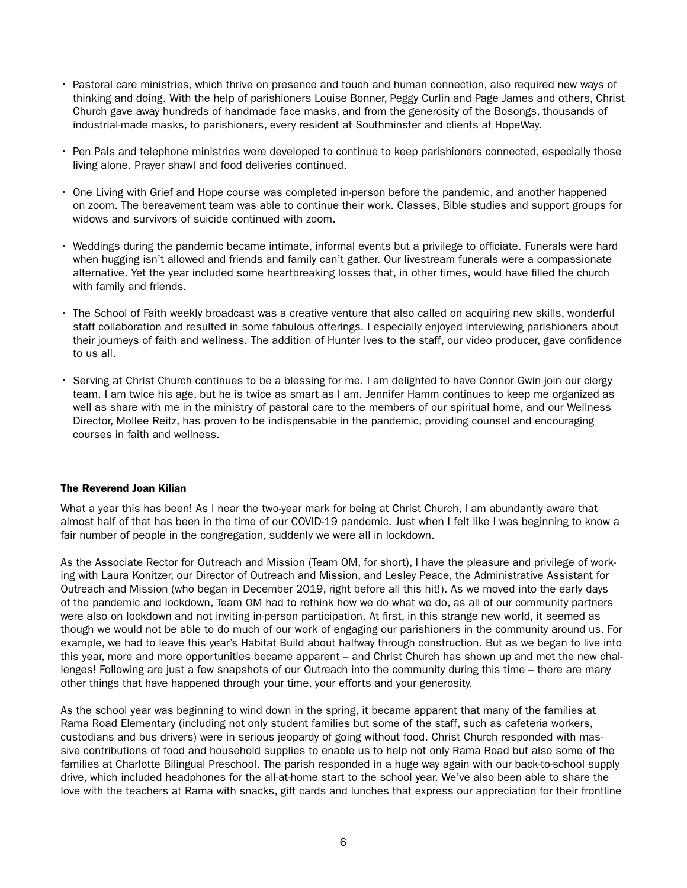- Pastoral care ministries, which thrive on presence and touch and human connection, also required new ways of thinking and doing. With the help of parishioners Louise Bonner, Peggy Curlin and Page James and others, Christ Church gave away hundreds of handmade face masks, and from the generosity of the Bosongs, thousands of industrial-made masks, to parishioners, every resident at Southminster and clients at HopeWay.
- Pen Pals and telephone ministries were developed to continue to keep parishioners connected, especially those living alone. Prayer shawl and food deliveries continued.
- One Living with Grief and Hope course was completed in-person before the pandemic, and another happened on zoom. The bereavement team was able to continue their work. Classes, Bible studies and support groups for widows and survivors of suicide continued with zoom.
- Weddings during the pandemic became intimate, informal events but a privilege to officiate. Funerals were hard when hugging isn't allowed and friends and family can't gather. Our livestream funerals were a compassionate alternative. Yet the year included some heartbreaking losses that, in other times, would have filled the church with family and friends.
- The School of Faith weekly broadcast was a creative venture that also called on acquiring new skills, wonderful staff collaboration and resulted in some fabulous offerings. I especially enjoyed interviewing parishioners about their journeys of faith and wellness. The addition of Hunter Ives to the staff, our video producer, gave confidence to us all.
- Serving at Christ Church continues to be a blessing for me. I am delighted to have Connor Gwin join our clergy team. I am twice his age, but he is twice as smart as I am. Jennifer Hamm continues to keep me organized as well as share with me in the ministry of pastoral care to the members of our spiritual home, and our Wellness Director, Mollee Reitz, has proven to be indispensable in the pandemic, providing counsel and encouraging courses in faith and wellness.

#### The Reverend Joan Kilian

What a year this has been! As I near the two-year mark for being at Christ Church, I am abundantly aware that almost half of that has been in the time of our COVID-19 pandemic. Just when I felt like I was beginning to know a fair number of people in the congregation, suddenly we were all in lockdown.

As the Associate Rector for Outreach and Mission (Team OM, for short), I have the pleasure and privilege of working with Laura Konitzer, our Director of Outreach and Mission, and Lesley Peace, the Administrative Assistant for Outreach and Mission (who began in December 2019, right before all this hit!). As we moved into the early days of the pandemic and lockdown, Team OM had to rethink how we do what we do, as all of our community partners were also on lockdown and not inviting in-person participation. At first, in this strange new world, it seemed as though we would not be able to do much of our work of engaging our parishioners in the community around us. For example, we had to leave this year's Habitat Build about halfway through construction. But as we began to live into this year, more and more opportunities became apparent – and Christ Church has shown up and met the new challenges! Following are just a few snapshots of our Outreach into the community during this time – there are many other things that have happened through your time, your efforts and your generosity.

As the school year was beginning to wind down in the spring, it became apparent that many of the families at Rama Road Elementary (including not only student families but some of the staff, such as cafeteria workers, custodians and bus drivers) were in serious jeopardy of going without food. Christ Church responded with massive contributions of food and household supplies to enable us to help not only Rama Road but also some of the families at Charlotte Bilingual Preschool. The parish responded in a huge way again with our back-to-school supply drive, which included headphones for the all-at-home start to the school year. We've also been able to share the love with the teachers at Rama with snacks, gift cards and lunches that express our appreciation for their frontline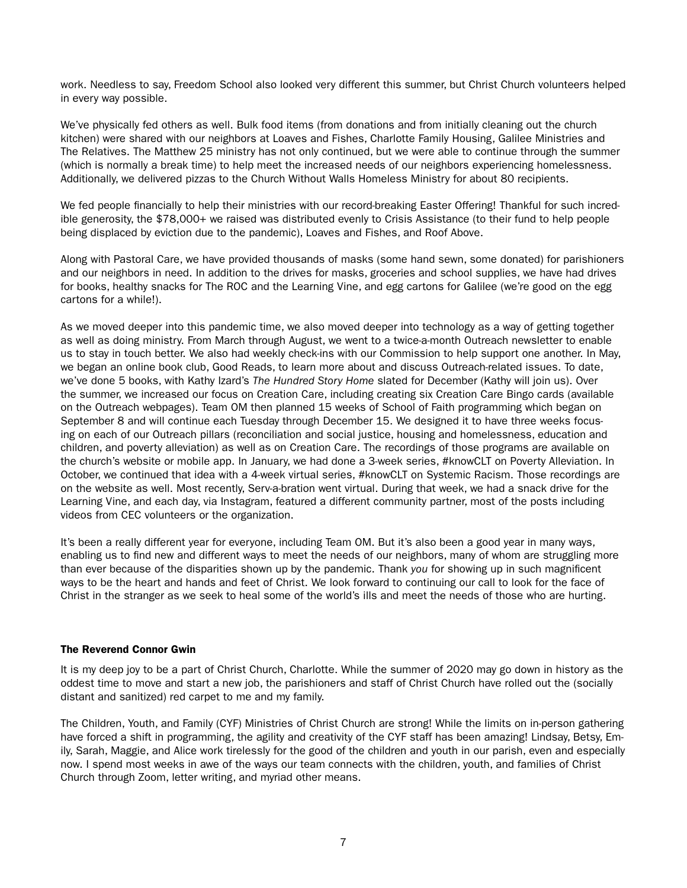work. Needless to say, Freedom School also looked very different this summer, but Christ Church volunteers helped in every way possible.

We've physically fed others as well. Bulk food items (from donations and from initially cleaning out the church kitchen) were shared with our neighbors at Loaves and Fishes, Charlotte Family Housing, Galilee Ministries and The Relatives. The Matthew 25 ministry has not only continued, but we were able to continue through the summer (which is normally a break time) to help meet the increased needs of our neighbors experiencing homelessness. Additionally, we delivered pizzas to the Church Without Walls Homeless Ministry for about 80 recipients.

We fed people financially to help their ministries with our record-breaking Easter Offering! Thankful for such incredible generosity, the \$78,000+ we raised was distributed evenly to Crisis Assistance (to their fund to help people being displaced by eviction due to the pandemic), Loaves and Fishes, and Roof Above.

Along with Pastoral Care, we have provided thousands of masks (some hand sewn, some donated) for parishioners and our neighbors in need. In addition to the drives for masks, groceries and school supplies, we have had drives for books, healthy snacks for The ROC and the Learning Vine, and egg cartons for Galilee (we're good on the egg cartons for a while!).

As we moved deeper into this pandemic time, we also moved deeper into technology as a way of getting together as well as doing ministry. From March through August, we went to a twice-a-month Outreach newsletter to enable us to stay in touch better. We also had weekly check-ins with our Commission to help support one another. In May, we began an online book club, Good Reads, to learn more about and discuss Outreach-related issues. To date, we've done 5 books, with Kathy Izard's *The Hundred Story Home* slated for December (Kathy will join us). Over the summer, we increased our focus on Creation Care, including creating six Creation Care Bingo cards (available on the Outreach webpages). Team OM then planned 15 weeks of School of Faith programming which began on September 8 and will continue each Tuesday through December 15. We designed it to have three weeks focusing on each of our Outreach pillars (reconciliation and social justice, housing and homelessness, education and children, and poverty alleviation) as well as on Creation Care. The recordings of those programs are available on the church's website or mobile app. In January, we had done a 3-week series, #knowCLT on Poverty Alleviation. In October, we continued that idea with a 4-week virtual series, #knowCLT on Systemic Racism. Those recordings are on the website as well. Most recently, Serv-a-bration went virtual. During that week, we had a snack drive for the Learning Vine, and each day, via Instagram, featured a different community partner, most of the posts including videos from CEC volunteers or the organization.

It's been a really different year for everyone, including Team OM. But it's also been a good year in many ways, enabling us to find new and different ways to meet the needs of our neighbors, many of whom are struggling more than ever because of the disparities shown up by the pandemic. Thank *you* for showing up in such magnificent ways to be the heart and hands and feet of Christ. We look forward to continuing our call to look for the face of Christ in the stranger as we seek to heal some of the world's ills and meet the needs of those who are hurting.

### The Reverend Connor Gwin

It is my deep joy to be a part of Christ Church, Charlotte. While the summer of 2020 may go down in history as the oddest time to move and start a new job, the parishioners and staff of Christ Church have rolled out the (socially distant and sanitized) red carpet to me and my family.

The Children, Youth, and Family (CYF) Ministries of Christ Church are strong! While the limits on in-person gathering have forced a shift in programming, the agility and creativity of the CYF staff has been amazing! Lindsay, Betsy, Emily, Sarah, Maggie, and Alice work tirelessly for the good of the children and youth in our parish, even and especially now. I spend most weeks in awe of the ways our team connects with the children, youth, and families of Christ Church through Zoom, letter writing, and myriad other means.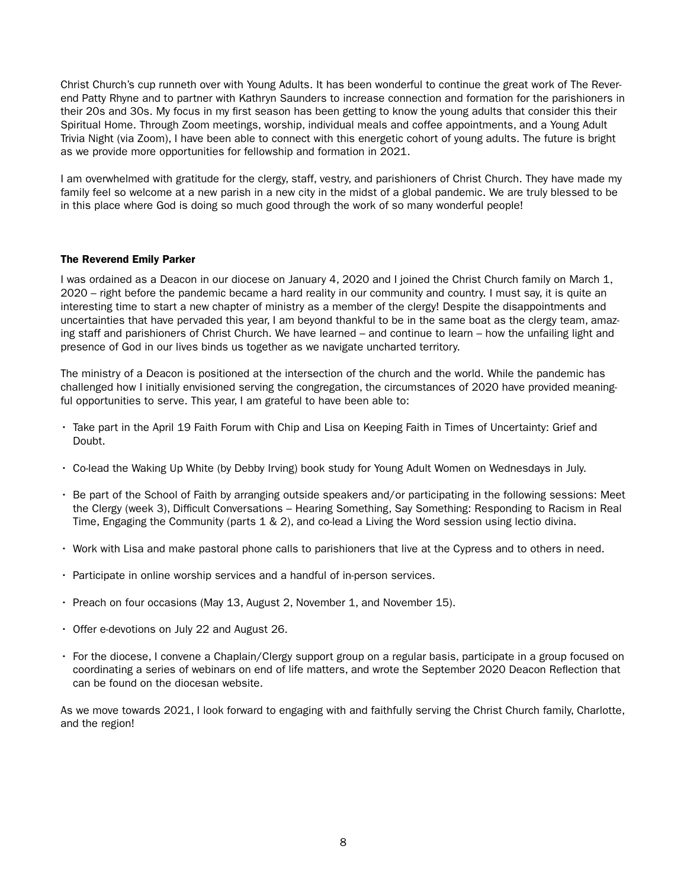Christ Church's cup runneth over with Young Adults. It has been wonderful to continue the great work of The Reverend Patty Rhyne and to partner with Kathryn Saunders to increase connection and formation for the parishioners in their 20s and 30s. My focus in my first season has been getting to know the young adults that consider this their Spiritual Home. Through Zoom meetings, worship, individual meals and coffee appointments, and a Young Adult Trivia Night (via Zoom), I have been able to connect with this energetic cohort of young adults. The future is bright as we provide more opportunities for fellowship and formation in 2021.

I am overwhelmed with gratitude for the clergy, staff, vestry, and parishioners of Christ Church. They have made my family feel so welcome at a new parish in a new city in the midst of a global pandemic. We are truly blessed to be in this place where God is doing so much good through the work of so many wonderful people!

### The Reverend Emily Parker

I was ordained as a Deacon in our diocese on January 4, 2020 and I joined the Christ Church family on March 1, 2020 – right before the pandemic became a hard reality in our community and country. I must say, it is quite an interesting time to start a new chapter of ministry as a member of the clergy! Despite the disappointments and uncertainties that have pervaded this year, I am beyond thankful to be in the same boat as the clergy team, amazing staff and parishioners of Christ Church. We have learned – and continue to learn – how the unfailing light and presence of God in our lives binds us together as we navigate uncharted territory.

The ministry of a Deacon is positioned at the intersection of the church and the world. While the pandemic has challenged how I initially envisioned serving the congregation, the circumstances of 2020 have provided meaningful opportunities to serve. This year, I am grateful to have been able to:

- Take part in the April 19 Faith Forum with Chip and Lisa on Keeping Faith in Times of Uncertainty: Grief and Doubt.
- Co-lead the Waking Up White (by Debby Irving) book study for Young Adult Women on Wednesdays in July.
- Be part of the School of Faith by arranging outside speakers and/or participating in the following sessions: Meet the Clergy (week 3), Difficult Conversations – Hearing Something, Say Something: Responding to Racism in Real Time, Engaging the Community (parts 1 & 2), and co-lead a Living the Word session using lectio divina.
- Work with Lisa and make pastoral phone calls to parishioners that live at the Cypress and to others in need.
- Participate in online worship services and a handful of in-person services.
- Preach on four occasions (May 13, August 2, November 1, and November 15).
- Offer e-devotions on July 22 and August 26.
- For the diocese, I convene a Chaplain/Clergy support group on a regular basis, participate in a group focused on coordinating a series of webinars on end of life matters, and wrote the September 2020 Deacon Reflection that can be found on the diocesan website.

As we move towards 2021, I look forward to engaging with and faithfully serving the Christ Church family, Charlotte, and the region!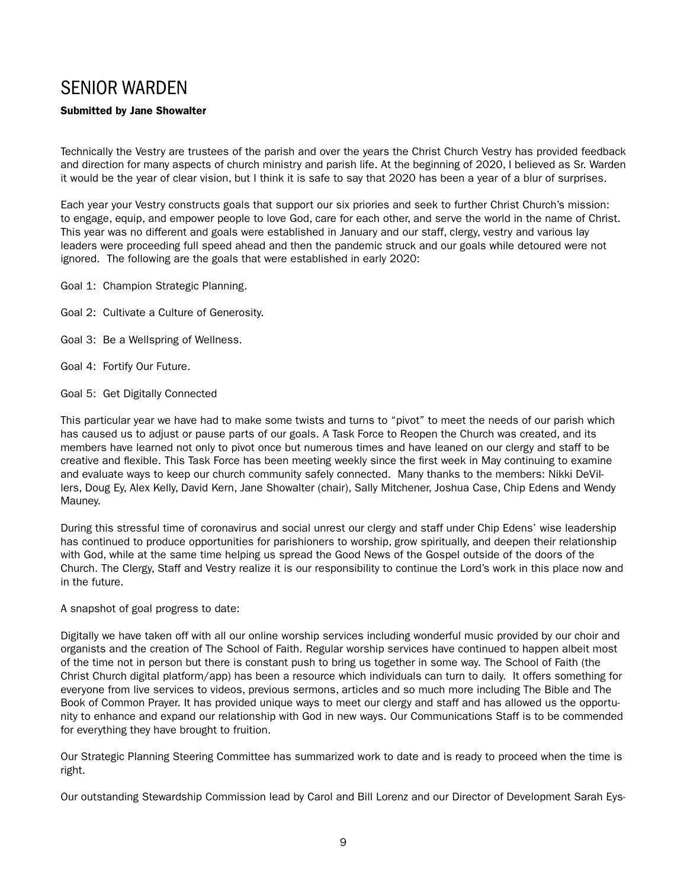### SENIOR WARDEN

### Submitted by Jane Showalter

Technically the Vestry are trustees of the parish and over the years the Christ Church Vestry has provided feedback and direction for many aspects of church ministry and parish life. At the beginning of 2020, I believed as Sr. Warden it would be the year of clear vision, but I think it is safe to say that 2020 has been a year of a blur of surprises.

Each year your Vestry constructs goals that support our six priories and seek to further Christ Church's mission: to engage, equip, and empower people to love God, care for each other, and serve the world in the name of Christ. This year was no different and goals were established in January and our staff, clergy, vestry and various lay leaders were proceeding full speed ahead and then the pandemic struck and our goals while detoured were not ignored. The following are the goals that were established in early 2020:

- Goal 1: Champion Strategic Planning.
- Goal 2: Cultivate a Culture of Generosity.
- Goal 3: Be a Wellspring of Wellness.
- Goal 4: Fortify Our Future.
- Goal 5: Get Digitally Connected

This particular year we have had to make some twists and turns to "pivot" to meet the needs of our parish which has caused us to adjust or pause parts of our goals. A Task Force to Reopen the Church was created, and its members have learned not only to pivot once but numerous times and have leaned on our clergy and staff to be creative and flexible. This Task Force has been meeting weekly since the first week in May continuing to examine and evaluate ways to keep our church community safely connected. Many thanks to the members: Nikki DeVillers, Doug Ey, Alex Kelly, David Kern, Jane Showalter (chair), Sally Mitchener, Joshua Case, Chip Edens and Wendy Mauney.

During this stressful time of coronavirus and social unrest our clergy and staff under Chip Edens' wise leadership has continued to produce opportunities for parishioners to worship, grow spiritually, and deepen their relationship with God, while at the same time helping us spread the Good News of the Gospel outside of the doors of the Church. The Clergy, Staff and Vestry realize it is our responsibility to continue the Lord's work in this place now and in the future.

A snapshot of goal progress to date:

Digitally we have taken off with all our online worship services including wonderful music provided by our choir and organists and the creation of The School of Faith. Regular worship services have continued to happen albeit most of the time not in person but there is constant push to bring us together in some way. The School of Faith (the Christ Church digital platform/app) has been a resource which individuals can turn to daily. It offers something for everyone from live services to videos, previous sermons, articles and so much more including The Bible and The Book of Common Prayer. It has provided unique ways to meet our clergy and staff and has allowed us the opportunity to enhance and expand our relationship with God in new ways. Our Communications Staff is to be commended for everything they have brought to fruition.

Our Strategic Planning Steering Committee has summarized work to date and is ready to proceed when the time is right.

Our outstanding Stewardship Commission lead by Carol and Bill Lorenz and our Director of Development Sarah Eys-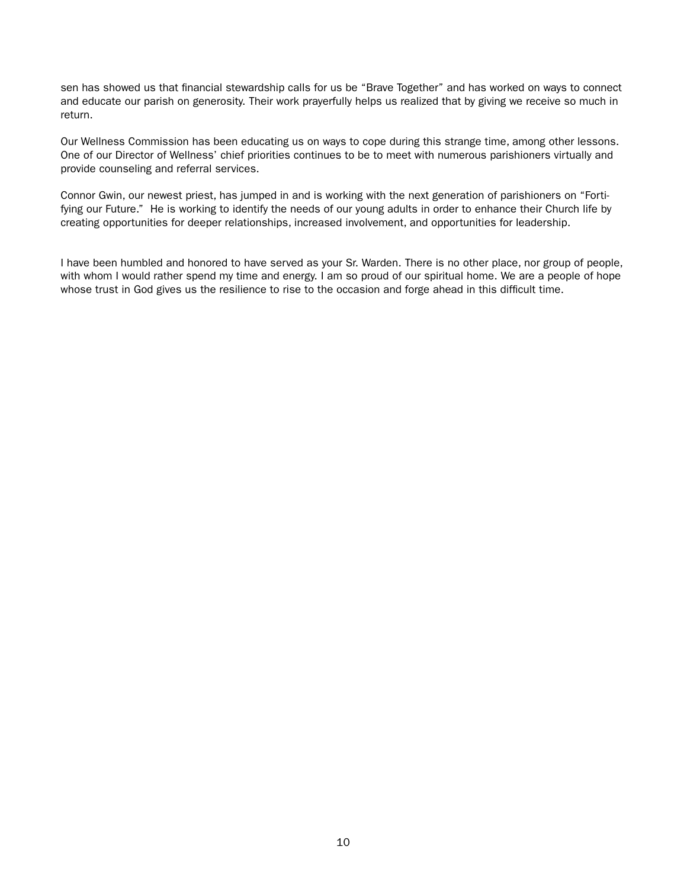sen has showed us that financial stewardship calls for us be "Brave Together" and has worked on ways to connect and educate our parish on generosity. Their work prayerfully helps us realized that by giving we receive so much in return.

Our Wellness Commission has been educating us on ways to cope during this strange time, among other lessons. One of our Director of Wellness' chief priorities continues to be to meet with numerous parishioners virtually and provide counseling and referral services.

Connor Gwin, our newest priest, has jumped in and is working with the next generation of parishioners on "Fortifying our Future." He is working to identify the needs of our young adults in order to enhance their Church life by creating opportunities for deeper relationships, increased involvement, and opportunities for leadership.

I have been humbled and honored to have served as your Sr. Warden. There is no other place, nor group of people, with whom I would rather spend my time and energy. I am so proud of our spiritual home. We are a people of hope whose trust in God gives us the resilience to rise to the occasion and forge ahead in this difficult time.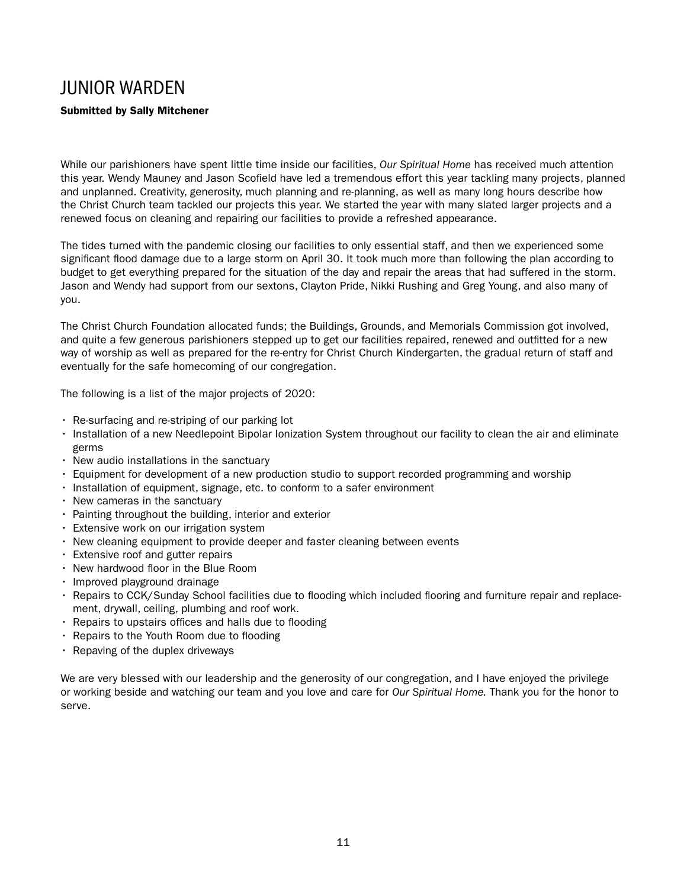### JUNIOR WARDEN

### Submitted by Sally Mitchener

While our parishioners have spent little time inside our facilities, *Our Spiritual Home* has received much attention this year. Wendy Mauney and Jason Scofield have led a tremendous effort this year tackling many projects, planned and unplanned. Creativity, generosity, much planning and re-planning, as well as many long hours describe how the Christ Church team tackled our projects this year. We started the year with many slated larger projects and a renewed focus on cleaning and repairing our facilities to provide a refreshed appearance.

The tides turned with the pandemic closing our facilities to only essential staff, and then we experienced some significant flood damage due to a large storm on April 30. It took much more than following the plan according to budget to get everything prepared for the situation of the day and repair the areas that had suffered in the storm. Jason and Wendy had support from our sextons, Clayton Pride, Nikki Rushing and Greg Young, and also many of you.

The Christ Church Foundation allocated funds; the Buildings, Grounds, and Memorials Commission got involved, and quite a few generous parishioners stepped up to get our facilities repaired, renewed and outfitted for a new way of worship as well as prepared for the re-entry for Christ Church Kindergarten, the gradual return of staff and eventually for the safe homecoming of our congregation.

The following is a list of the major projects of 2020:

- Re-surfacing and re-striping of our parking lot
- Installation of a new Needlepoint Bipolar Ionization System throughout our facility to clean the air and eliminate germs
- New audio installations in the sanctuary
- Equipment for development of a new production studio to support recorded programming and worship
- Installation of equipment, signage, etc. to conform to a safer environment
- New cameras in the sanctuary
- Painting throughout the building, interior and exterior
- Extensive work on our irrigation system
- New cleaning equipment to provide deeper and faster cleaning between events
- Extensive roof and gutter repairs
- New hardwood floor in the Blue Room
- Improved playground drainage
- Repairs to CCK/Sunday School facilities due to flooding which included flooring and furniture repair and replacement, drywall, ceiling, plumbing and roof work.
- Repairs to upstairs offices and halls due to flooding
- Repairs to the Youth Room due to flooding
- Repaving of the duplex driveways

We are very blessed with our leadership and the generosity of our congregation, and I have enjoyed the privilege or working beside and watching our team and you love and care for *Our Spiritual Home.* Thank you for the honor to serve.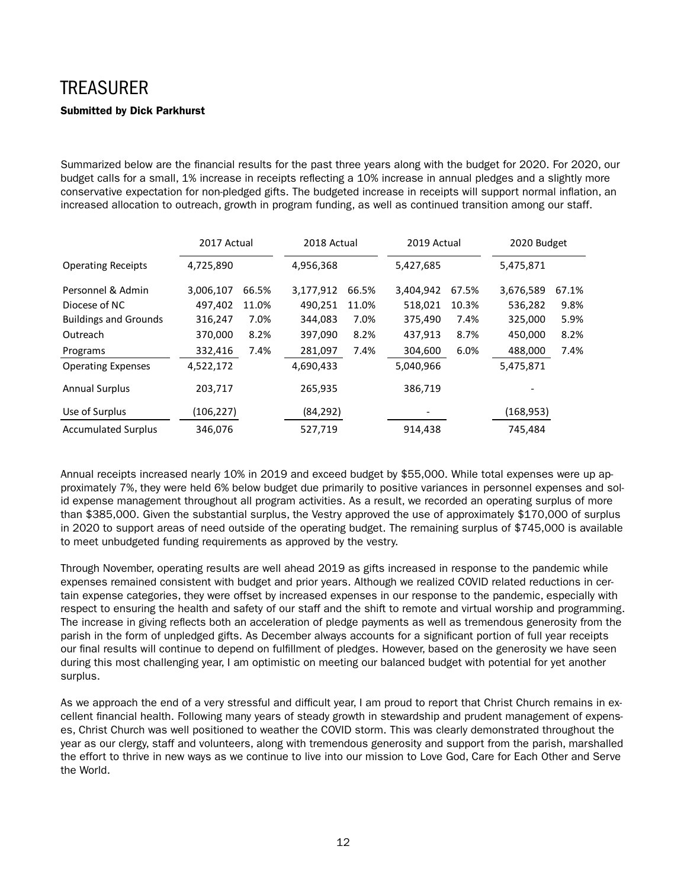# **TREASURER** Submitted by Dick Parkhurst

Summarized below are the financial results for the past three years along with the budget for 2020. For 2020, our budget calls for a small, 1% increase in receipts reflecting a 10% increase in annual pledges and a slightly more conservative expectation for non-pledged gifts. The budgeted increase in receipts will support normal inflation, an increased allocation to outreach, growth in program funding, as well as continued transition among our staff.

|                              | 2017 Actual |       | 2018 Actual |       | 2019 Actual |       | 2020 Budget |       |
|------------------------------|-------------|-------|-------------|-------|-------------|-------|-------------|-------|
| <b>Operating Receipts</b>    | 4,725,890   |       | 4,956,368   |       | 5,427,685   |       | 5,475,871   |       |
| Personnel & Admin            | 3,006,107   | 66.5% | 3,177,912   | 66.5% | 3,404,942   | 67.5% | 3,676,589   | 67.1% |
| Diocese of NC                | 497,402     | 11.0% | 490,251     | 11.0% | 518,021     | 10.3% | 536,282     | 9.8%  |
| <b>Buildings and Grounds</b> | 316,247     | 7.0%  | 344,083     | 7.0%  | 375,490     | 7.4%  | 325,000     | 5.9%  |
| Outreach                     | 370,000     | 8.2%  | 397,090     | 8.2%  | 437,913     | 8.7%  | 450,000     | 8.2%  |
| Programs                     | 332,416     | 7.4%  | 281,097     | 7.4%  | 304,600     | 6.0%  | 488,000     | 7.4%  |
| <b>Operating Expenses</b>    | 4,522,172   |       | 4,690,433   |       | 5,040,966   |       | 5,475,871   |       |
| <b>Annual Surplus</b>        | 203,717     |       | 265,935     |       | 386,719     |       |             |       |
| Use of Surplus               | (106, 227)  |       | (84, 292)   |       |             |       | (168, 953)  |       |
| <b>Accumulated Surplus</b>   | 346,076     |       | 527,719     |       | 914,438     |       | 745,484     |       |

Annual receipts increased nearly 10% in 2019 and exceed budget by \$55,000. While total expenses were up approximately 7%, they were held 6% below budget due primarily to positive variances in personnel expenses and solid expense management throughout all program activities. As a result, we recorded an operating surplus of more than \$385,000. Given the substantial surplus, the Vestry approved the use of approximately \$170,000 of surplus in 2020 to support areas of need outside of the operating budget. The remaining surplus of \$745,000 is available to meet unbudgeted funding requirements as approved by the vestry.

Through November, operating results are well ahead 2019 as gifts increased in response to the pandemic while expenses remained consistent with budget and prior years. Although we realized COVID related reductions in certain expense categories, they were offset by increased expenses in our response to the pandemic, especially with respect to ensuring the health and safety of our staff and the shift to remote and virtual worship and programming. The increase in giving reflects both an acceleration of pledge payments as well as tremendous generosity from the parish in the form of unpledged gifts. As December always accounts for a significant portion of full year receipts our final results will continue to depend on fulfillment of pledges. However, based on the generosity we have seen during this most challenging year, I am optimistic on meeting our balanced budget with potential for yet another surplus.

As we approach the end of a very stressful and difficult year, I am proud to report that Christ Church remains in excellent financial health. Following many years of steady growth in stewardship and prudent management of expenses, Christ Church was well positioned to weather the COVID storm. This was clearly demonstrated throughout the year as our clergy, staff and volunteers, along with tremendous generosity and support from the parish, marshalled the effort to thrive in new ways as we continue to live into our mission to Love God, Care for Each Other and Serve the World.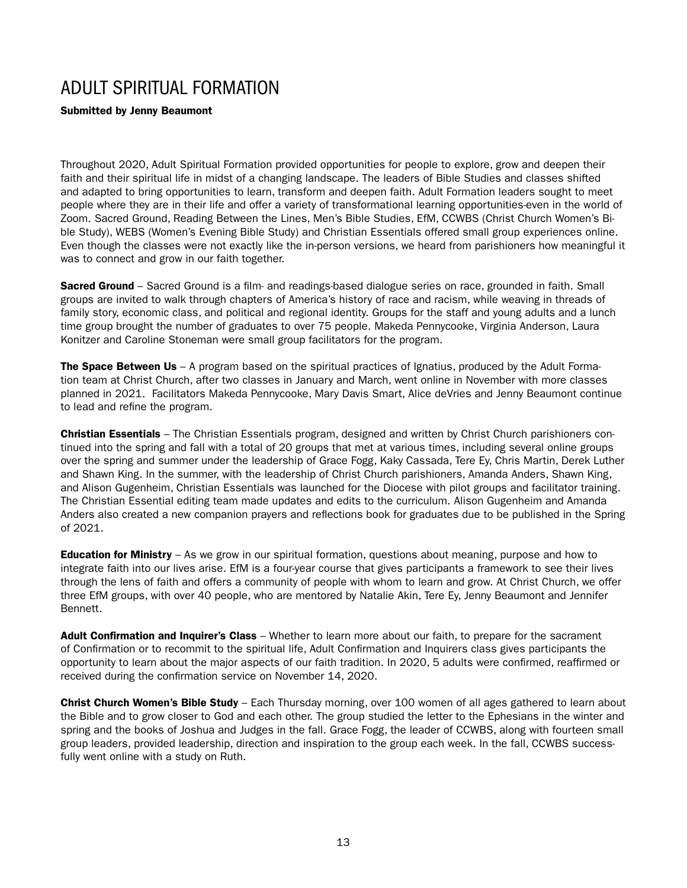### ADULT SPIRITUAL FORMATION

Submitted by Jenny Beaumont

Throughout 2020, Adult Spiritual Formation provided opportunities for people to explore, grow and deepen their faith and their spiritual life in midst of a changing landscape. The leaders of Bible Studies and classes shifted and adapted to bring opportunities to learn, transform and deepen faith. Adult Formation leaders sought to meet people where they are in their life and offer a variety of transformational learning opportunities-even in the world of Zoom. Sacred Ground, Reading Between the Lines, Men's Bible Studies, EfM, CCWBS (Christ Church Women's Bible Study), WEBS (Women's Evening Bible Study) and Christian Essentials offered small group experiences online. Even though the classes were not exactly like the in-person versions, we heard from parishioners how meaningful it was to connect and grow in our faith together.

Sacred Ground – Sacred Ground is a film- and readings-based dialogue series on race, grounded in faith. Small groups are invited to walk through chapters of America's history of race and racism, while weaving in threads of family story, economic class, and political and regional identity. Groups for the staff and young adults and a lunch time group brought the number of graduates to over 75 people. Makeda Pennycooke, Virginia Anderson, Laura Konitzer and Caroline Stoneman were small group facilitators for the program.

The Space Between Us – A program based on the spiritual practices of Ignatius, produced by the Adult Formation team at Christ Church, after two classes in January and March, went online in November with more classes planned in 2021. Facilitators Makeda Pennycooke, Mary Davis Smart, Alice deVries and Jenny Beaumont continue to lead and refine the program.

**Christian Essentials** – The Christian Essentials program, designed and written by Christ Church parishioners continued into the spring and fall with a total of 20 groups that met at various times, including several online groups over the spring and summer under the leadership of Grace Fogg, Kaky Cassada, Tere Ey, Chris Martin, Derek Luther and Shawn King. In the summer, with the leadership of Christ Church parishioners, Amanda Anders, Shawn King, and Alison Gugenheim, Christian Essentials was launched for the Diocese with pilot groups and facilitator training. The Christian Essential editing team made updates and edits to the curriculum. Alison Gugenheim and Amanda Anders also created a new companion prayers and reflections book for graduates due to be published in the Spring of 2021.

**Education for Ministry** – As we grow in our spiritual formation, questions about meaning, purpose and how to integrate faith into our lives arise. EfM is a four-year course that gives participants a framework to see their lives through the lens of faith and offers a community of people with whom to learn and grow. At Christ Church, we offer three EfM groups, with over 40 people, who are mentored by Natalie Akin, Tere Ey, Jenny Beaumont and Jennifer Bennett.

Adult Confirmation and Inquirer's Class – Whether to learn more about our faith, to prepare for the sacrament of Confirmation or to recommit to the spiritual life, Adult Confirmation and Inquirers class gives participants the opportunity to learn about the major aspects of our faith tradition. In 2020, 5 adults were confirmed, reaffirmed or received during the confirmation service on November 14, 2020.

Christ Church Women's Bible Study – Each Thursday morning, over 100 women of all ages gathered to learn about the Bible and to grow closer to God and each other. The group studied the letter to the Ephesians in the winter and spring and the books of Joshua and Judges in the fall. Grace Fogg, the leader of CCWBS, along with fourteen small group leaders, provided leadership, direction and inspiration to the group each week. In the fall, CCWBS successfully went online with a study on Ruth.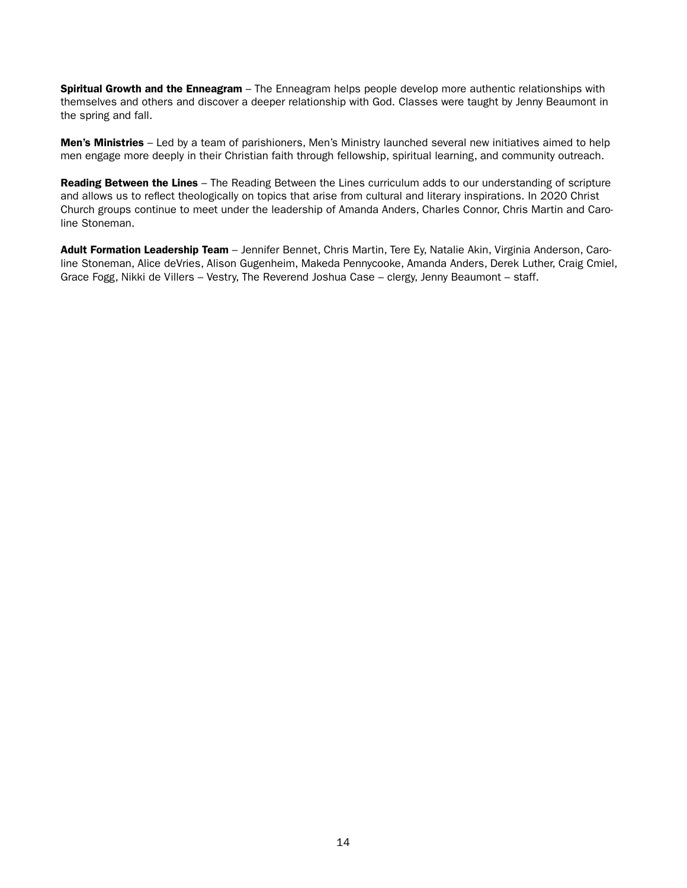**Spiritual Growth and the Enneagram** – The Enneagram helps people develop more authentic relationships with themselves and others and discover a deeper relationship with God. Classes were taught by Jenny Beaumont in the spring and fall.

Men's Ministries - Led by a team of parishioners, Men's Ministry launched several new initiatives aimed to help men engage more deeply in their Christian faith through fellowship, spiritual learning, and community outreach.

**Reading Between the Lines** – The Reading Between the Lines curriculum adds to our understanding of scripture and allows us to reflect theologically on topics that arise from cultural and literary inspirations. In 2020 Christ Church groups continue to meet under the leadership of Amanda Anders, Charles Connor, Chris Martin and Caroline Stoneman.

Adult Formation Leadership Team - Jennifer Bennet, Chris Martin, Tere Ey, Natalie Akin, Virginia Anderson, Caroline Stoneman, Alice deVries, Alison Gugenheim, Makeda Pennycooke, Amanda Anders, Derek Luther, Craig Cmiel, Grace Fogg, Nikki de Villers – Vestry, The Reverend Joshua Case – clergy, Jenny Beaumont – staff.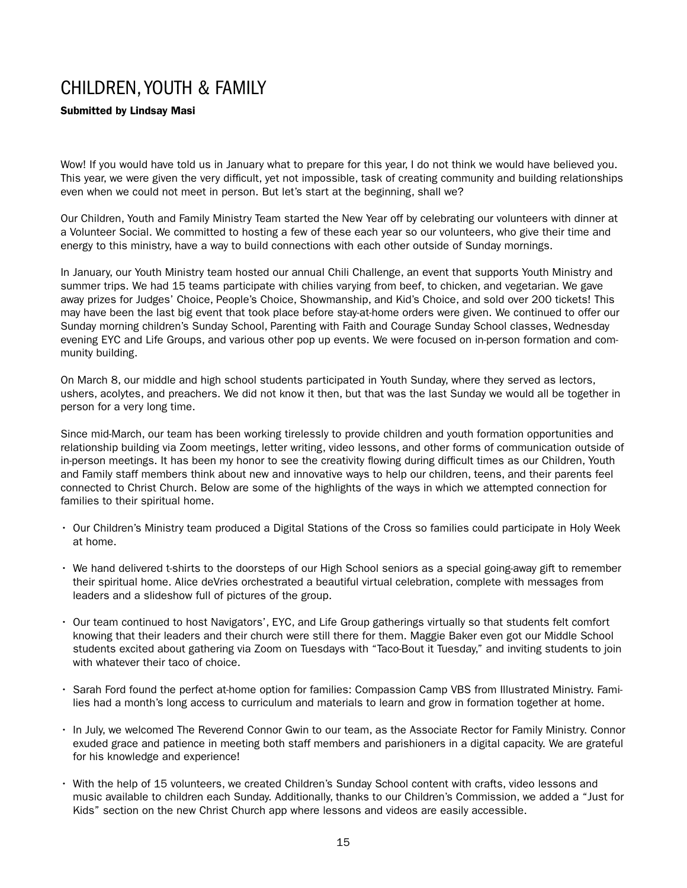## CHILDREN, YOUTH & FAMILY

### Submitted by Lindsay Masi

Wow! If you would have told us in January what to prepare for this year, I do not think we would have believed you. This year, we were given the very difficult, yet not impossible, task of creating community and building relationships even when we could not meet in person. But let's start at the beginning, shall we?

Our Children, Youth and Family Ministry Team started the New Year off by celebrating our volunteers with dinner at a Volunteer Social. We committed to hosting a few of these each year so our volunteers, who give their time and energy to this ministry, have a way to build connections with each other outside of Sunday mornings.

In January, our Youth Ministry team hosted our annual Chili Challenge, an event that supports Youth Ministry and summer trips. We had 15 teams participate with chilies varying from beef, to chicken, and vegetarian. We gave away prizes for Judges' Choice, People's Choice, Showmanship, and Kid's Choice, and sold over 200 tickets! This may have been the last big event that took place before stay-at-home orders were given. We continued to offer our Sunday morning children's Sunday School, Parenting with Faith and Courage Sunday School classes, Wednesday evening EYC and Life Groups, and various other pop up events. We were focused on in-person formation and community building.

On March 8, our middle and high school students participated in Youth Sunday, where they served as lectors, ushers, acolytes, and preachers. We did not know it then, but that was the last Sunday we would all be together in person for a very long time.

Since mid-March, our team has been working tirelessly to provide children and youth formation opportunities and relationship building via Zoom meetings, letter writing, video lessons, and other forms of communication outside of in-person meetings. It has been my honor to see the creativity flowing during difficult times as our Children, Youth and Family staff members think about new and innovative ways to help our children, teens, and their parents feel connected to Christ Church. Below are some of the highlights of the ways in which we attempted connection for families to their spiritual home.

- Our Children's Ministry team produced a Digital Stations of the Cross so families could participate in Holy Week at home.
- We hand delivered t-shirts to the doorsteps of our High School seniors as a special going-away gift to remember their spiritual home. Alice deVries orchestrated a beautiful virtual celebration, complete with messages from leaders and a slideshow full of pictures of the group.
- Our team continued to host Navigators', EYC, and Life Group gatherings virtually so that students felt comfort knowing that their leaders and their church were still there for them. Maggie Baker even got our Middle School students excited about gathering via Zoom on Tuesdays with "Taco-Bout it Tuesday," and inviting students to join with whatever their taco of choice.
- Sarah Ford found the perfect at-home option for families: Compassion Camp VBS from Illustrated Ministry. Families had a month's long access to curriculum and materials to learn and grow in formation together at home.
- In July, we welcomed The Reverend Connor Gwin to our team, as the Associate Rector for Family Ministry. Connor exuded grace and patience in meeting both staff members and parishioners in a digital capacity. We are grateful for his knowledge and experience!
- With the help of 15 volunteers, we created Children's Sunday School content with crafts, video lessons and music available to children each Sunday. Additionally, thanks to our Children's Commission, we added a "Just for Kids" section on the new Christ Church app where lessons and videos are easily accessible.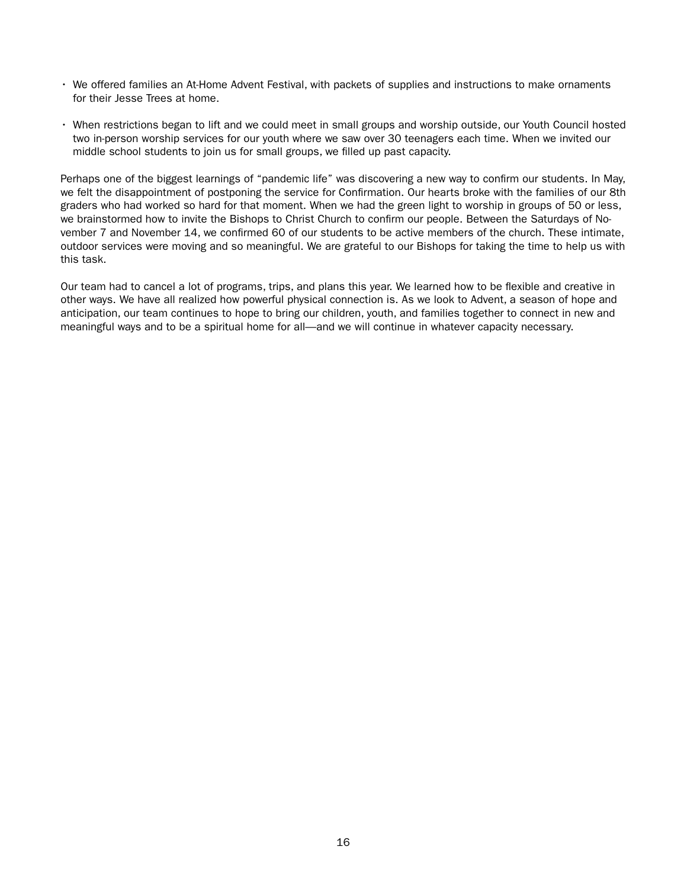- We offered families an At-Home Advent Festival, with packets of supplies and instructions to make ornaments for their Jesse Trees at home.
- When restrictions began to lift and we could meet in small groups and worship outside, our Youth Council hosted two in-person worship services for our youth where we saw over 30 teenagers each time. When we invited our middle school students to join us for small groups, we filled up past capacity.

Perhaps one of the biggest learnings of "pandemic life" was discovering a new way to confirm our students. In May, we felt the disappointment of postponing the service for Confirmation. Our hearts broke with the families of our 8th graders who had worked so hard for that moment. When we had the green light to worship in groups of 50 or less, we brainstormed how to invite the Bishops to Christ Church to confirm our people. Between the Saturdays of November 7 and November 14, we confirmed 60 of our students to be active members of the church. These intimate, outdoor services were moving and so meaningful. We are grateful to our Bishops for taking the time to help us with this task.

Our team had to cancel a lot of programs, trips, and plans this year. We learned how to be flexible and creative in other ways. We have all realized how powerful physical connection is. As we look to Advent, a season of hope and anticipation, our team continues to hope to bring our children, youth, and families together to connect in new and meaningful ways and to be a spiritual home for all—and we will continue in whatever capacity necessary.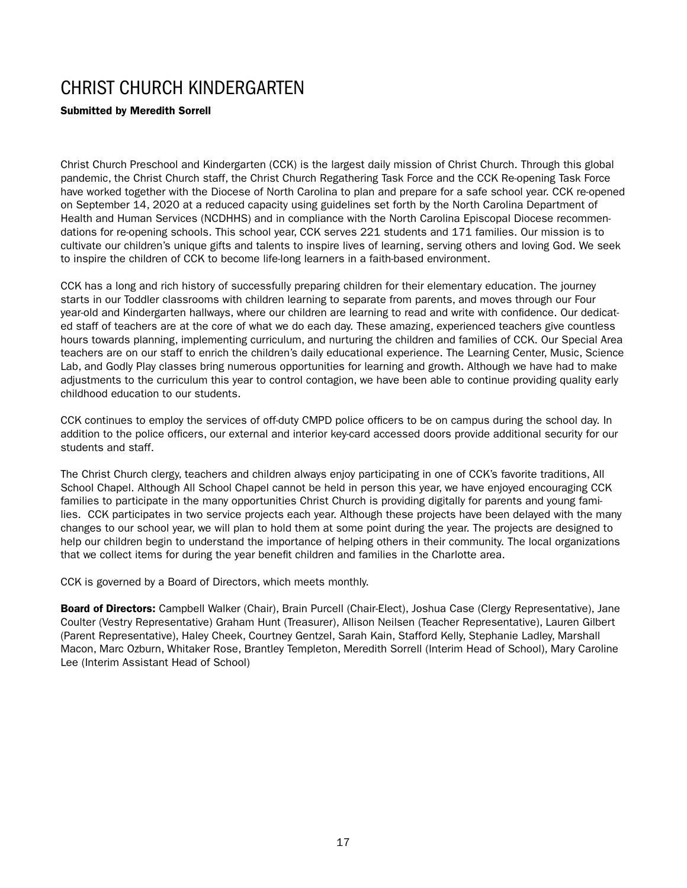## CHRIST CHURCH KINDERGARTEN

### Submitted by Meredith Sorrell

Christ Church Preschool and Kindergarten (CCK) is the largest daily mission of Christ Church. Through this global pandemic, the Christ Church staff, the Christ Church Regathering Task Force and the CCK Re-opening Task Force have worked together with the Diocese of North Carolina to plan and prepare for a safe school year. CCK re-opened on September 14, 2020 at a reduced capacity using guidelines set forth by the North Carolina Department of Health and Human Services (NCDHHS) and in compliance with the North Carolina Episcopal Diocese recommendations for re-opening schools. This school year, CCK serves 221 students and 171 families. Our mission is to cultivate our children's unique gifts and talents to inspire lives of learning, serving others and loving God. We seek to inspire the children of CCK to become life-long learners in a faith-based environment.

CCK has a long and rich history of successfully preparing children for their elementary education. The journey starts in our Toddler classrooms with children learning to separate from parents, and moves through our Four year-old and Kindergarten hallways, where our children are learning to read and write with confidence. Our dedicated staff of teachers are at the core of what we do each day. These amazing, experienced teachers give countless hours towards planning, implementing curriculum, and nurturing the children and families of CCK. Our Special Area teachers are on our staff to enrich the children's daily educational experience. The Learning Center, Music, Science Lab, and Godly Play classes bring numerous opportunities for learning and growth. Although we have had to make adjustments to the curriculum this year to control contagion, we have been able to continue providing quality early childhood education to our students.

CCK continues to employ the services of off-duty CMPD police officers to be on campus during the school day. In addition to the police officers, our external and interior key-card accessed doors provide additional security for our students and staff.

The Christ Church clergy, teachers and children always enjoy participating in one of CCK's favorite traditions, All School Chapel. Although All School Chapel cannot be held in person this year, we have enjoyed encouraging CCK families to participate in the many opportunities Christ Church is providing digitally for parents and young families. CCK participates in two service projects each year. Although these projects have been delayed with the many changes to our school year, we will plan to hold them at some point during the year. The projects are designed to help our children begin to understand the importance of helping others in their community. The local organizations that we collect items for during the year benefit children and families in the Charlotte area.

CCK is governed by a Board of Directors, which meets monthly.

Board of Directors: Campbell Walker (Chair), Brain Purcell (Chair-Elect), Joshua Case (Clergy Representative), Jane Coulter (Vestry Representative) Graham Hunt (Treasurer), Allison Neilsen (Teacher Representative), Lauren Gilbert (Parent Representative), Haley Cheek, Courtney Gentzel, Sarah Kain, Stafford Kelly, Stephanie Ladley, Marshall Macon, Marc Ozburn, Whitaker Rose, Brantley Templeton, Meredith Sorrell (Interim Head of School), Mary Caroline Lee (Interim Assistant Head of School)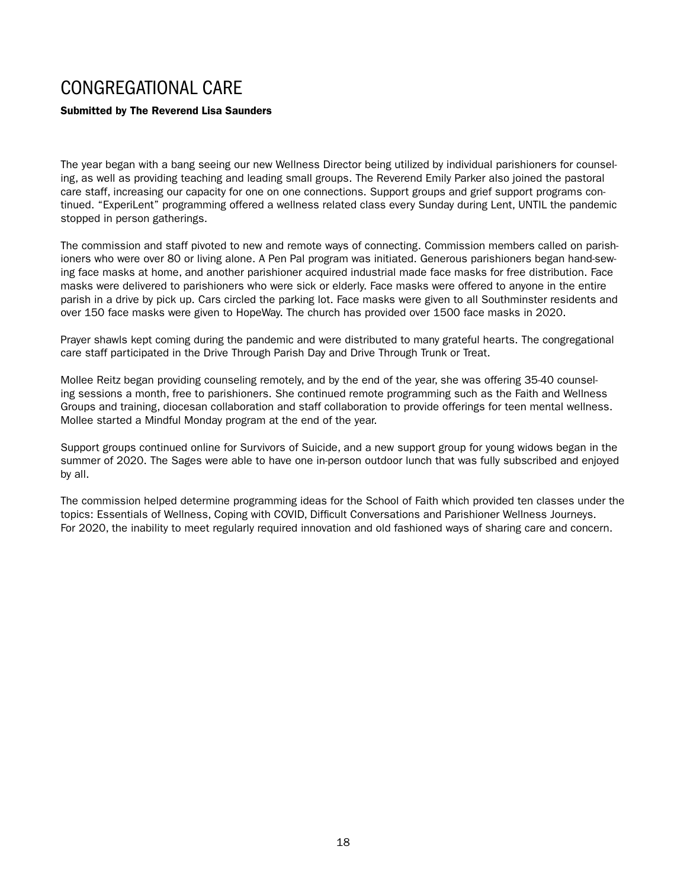# CONGREGATIONAL CARE

### Submitted by The Reverend Lisa Saunders

The year began with a bang seeing our new Wellness Director being utilized by individual parishioners for counseling, as well as providing teaching and leading small groups. The Reverend Emily Parker also joined the pastoral care staff, increasing our capacity for one on one connections. Support groups and grief support programs continued. "ExperiLent" programming offered a wellness related class every Sunday during Lent, UNTIL the pandemic stopped in person gatherings.

The commission and staff pivoted to new and remote ways of connecting. Commission members called on parishioners who were over 80 or living alone. A Pen Pal program was initiated. Generous parishioners began hand-sewing face masks at home, and another parishioner acquired industrial made face masks for free distribution. Face masks were delivered to parishioners who were sick or elderly. Face masks were offered to anyone in the entire parish in a drive by pick up. Cars circled the parking lot. Face masks were given to all Southminster residents and over 150 face masks were given to HopeWay. The church has provided over 1500 face masks in 2020.

Prayer shawls kept coming during the pandemic and were distributed to many grateful hearts. The congregational care staff participated in the Drive Through Parish Day and Drive Through Trunk or Treat.

Mollee Reitz began providing counseling remotely, and by the end of the year, she was offering 35-40 counseling sessions a month, free to parishioners. She continued remote programming such as the Faith and Wellness Groups and training, diocesan collaboration and staff collaboration to provide offerings for teen mental wellness. Mollee started a Mindful Monday program at the end of the year.

Support groups continued online for Survivors of Suicide, and a new support group for young widows began in the summer of 2020. The Sages were able to have one in-person outdoor lunch that was fully subscribed and enjoyed by all.

The commission helped determine programming ideas for the School of Faith which provided ten classes under the topics: Essentials of Wellness, Coping with COVID, Difficult Conversations and Parishioner Wellness Journeys. For 2020, the inability to meet regularly required innovation and old fashioned ways of sharing care and concern.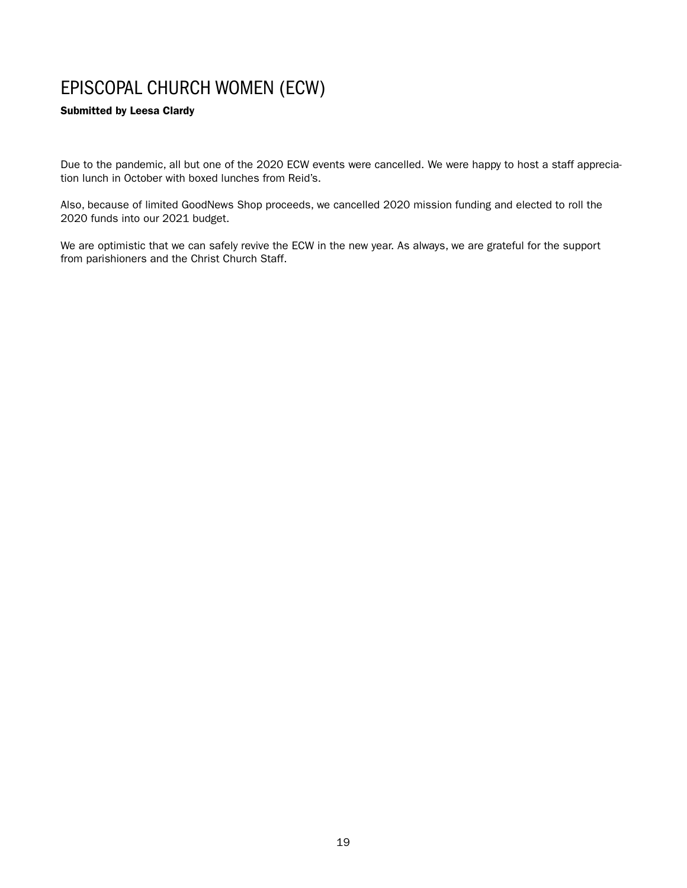# EPISCOPAL CHURCH WOMEN (ECW)

### Submitted by Leesa Clardy

Due to the pandemic, all but one of the 2020 ECW events were cancelled. We were happy to host a staff appreciation lunch in October with boxed lunches from Reid's.

Also, because of limited GoodNews Shop proceeds, we cancelled 2020 mission funding and elected to roll the 2020 funds into our 2021 budget.

We are optimistic that we can safely revive the ECW in the new year. As always, we are grateful for the support from parishioners and the Christ Church Staff.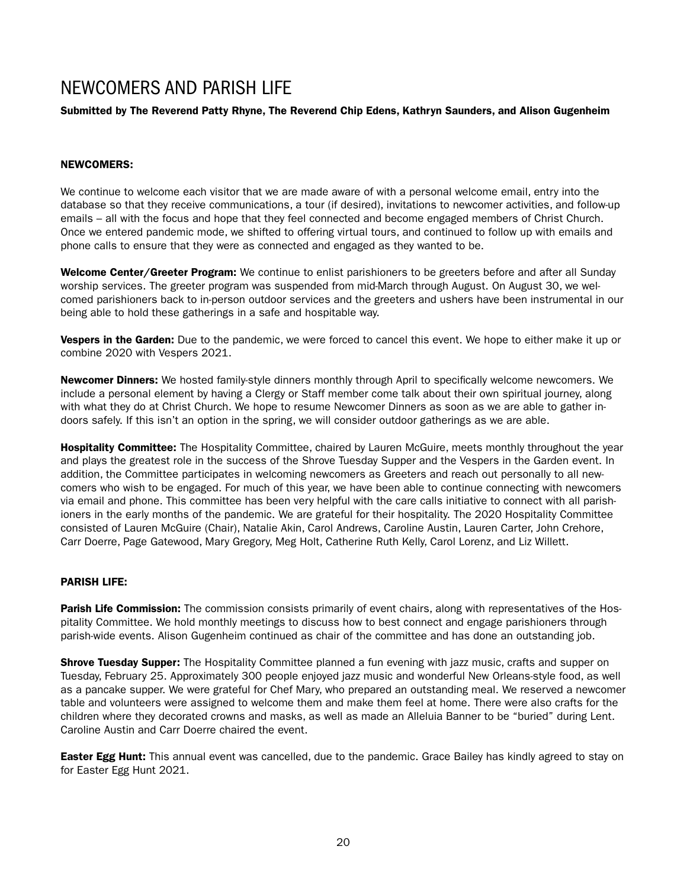# NEWCOMERS AND PARISH LIFE

### Submitted by The Reverend Patty Rhyne, The Reverend Chip Edens, Kathryn Saunders, and Alison Gugenheim

### NEWCOMERS:

We continue to welcome each visitor that we are made aware of with a personal welcome email, entry into the database so that they receive communications, a tour (if desired), invitations to newcomer activities, and follow-up emails – all with the focus and hope that they feel connected and become engaged members of Christ Church. Once we entered pandemic mode, we shifted to offering virtual tours, and continued to follow up with emails and phone calls to ensure that they were as connected and engaged as they wanted to be.

Welcome Center/Greeter Program: We continue to enlist parishioners to be greeters before and after all Sunday worship services. The greeter program was suspended from mid-March through August. On August 30, we welcomed parishioners back to in-person outdoor services and the greeters and ushers have been instrumental in our being able to hold these gatherings in a safe and hospitable way.

Vespers in the Garden: Due to the pandemic, we were forced to cancel this event. We hope to either make it up or combine 2020 with Vespers 2021.

Newcomer Dinners: We hosted family-style dinners monthly through April to specifically welcome newcomers. We include a personal element by having a Clergy or Staff member come talk about their own spiritual journey, along with what they do at Christ Church. We hope to resume Newcomer Dinners as soon as we are able to gather indoors safely. If this isn't an option in the spring, we will consider outdoor gatherings as we are able.

**Hospitality Committee:** The Hospitality Committee, chaired by Lauren McGuire, meets monthly throughout the year and plays the greatest role in the success of the Shrove Tuesday Supper and the Vespers in the Garden event. In addition, the Committee participates in welcoming newcomers as Greeters and reach out personally to all newcomers who wish to be engaged. For much of this year, we have been able to continue connecting with newcomers via email and phone. This committee has been very helpful with the care calls initiative to connect with all parishioners in the early months of the pandemic. We are grateful for their hospitality. The 2020 Hospitality Committee consisted of Lauren McGuire (Chair), Natalie Akin, Carol Andrews, Caroline Austin, Lauren Carter, John Crehore, Carr Doerre, Page Gatewood, Mary Gregory, Meg Holt, Catherine Ruth Kelly, Carol Lorenz, and Liz Willett.

### PARISH LIFE:

Parish Life Commission: The commission consists primarily of event chairs, along with representatives of the Hospitality Committee. We hold monthly meetings to discuss how to best connect and engage parishioners through parish-wide events. Alison Gugenheim continued as chair of the committee and has done an outstanding job.

**Shrove Tuesday Supper:** The Hospitality Committee planned a fun evening with jazz music, crafts and supper on Tuesday, February 25. Approximately 300 people enjoyed jazz music and wonderful New Orleans-style food, as well as a pancake supper. We were grateful for Chef Mary, who prepared an outstanding meal. We reserved a newcomer table and volunteers were assigned to welcome them and make them feel at home. There were also crafts for the children where they decorated crowns and masks, as well as made an Alleluia Banner to be "buried" during Lent. Caroline Austin and Carr Doerre chaired the event.

**Easter Egg Hunt:** This annual event was cancelled, due to the pandemic. Grace Bailey has kindly agreed to stay on for Easter Egg Hunt 2021.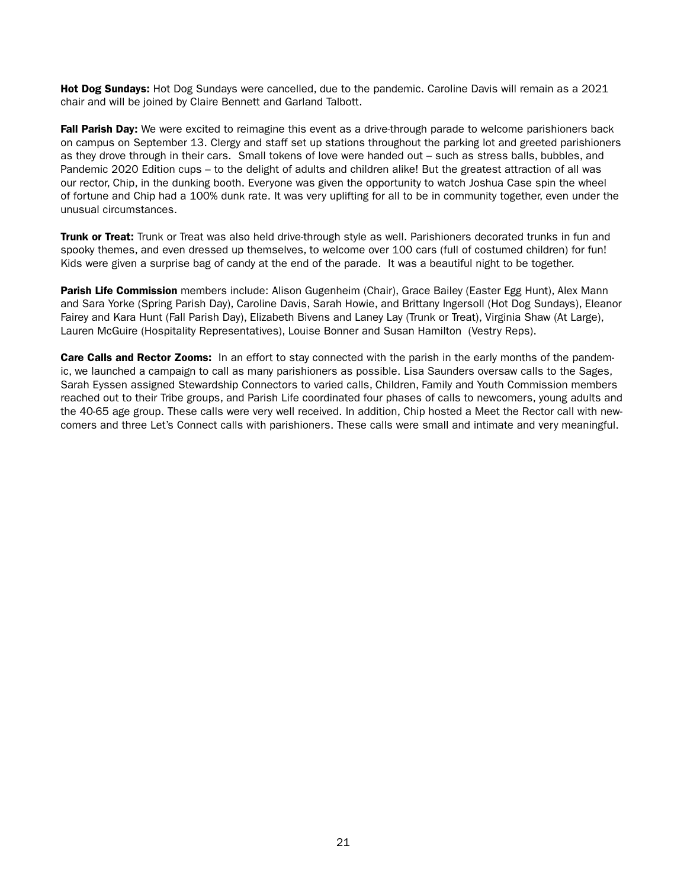Hot Dog Sundays: Hot Dog Sundays were cancelled, due to the pandemic. Caroline Davis will remain as a 2021 chair and will be joined by Claire Bennett and Garland Talbott.

Fall Parish Day: We were excited to reimagine this event as a drive-through parade to welcome parishioners back on campus on September 13. Clergy and staff set up stations throughout the parking lot and greeted parishioners as they drove through in their cars. Small tokens of love were handed out – such as stress balls, bubbles, and Pandemic 2020 Edition cups – to the delight of adults and children alike! But the greatest attraction of all was our rector, Chip, in the dunking booth. Everyone was given the opportunity to watch Joshua Case spin the wheel of fortune and Chip had a 100% dunk rate. It was very uplifting for all to be in community together, even under the unusual circumstances.

**Trunk or Treat:** Trunk or Treat was also held drive-through style as well. Parishioners decorated trunks in fun and spooky themes, and even dressed up themselves, to welcome over 100 cars (full of costumed children) for fun! Kids were given a surprise bag of candy at the end of the parade. It was a beautiful night to be together.

Parish Life Commission members include: Alison Gugenheim (Chair), Grace Bailey (Easter Egg Hunt), Alex Mann and Sara Yorke (Spring Parish Day), Caroline Davis, Sarah Howie, and Brittany Ingersoll (Hot Dog Sundays), Eleanor Fairey and Kara Hunt (Fall Parish Day), Elizabeth Bivens and Laney Lay (Trunk or Treat), Virginia Shaw (At Large), Lauren McGuire (Hospitality Representatives), Louise Bonner and Susan Hamilton (Vestry Reps).

**Care Calls and Rector Zooms:** In an effort to stay connected with the parish in the early months of the pandemic, we launched a campaign to call as many parishioners as possible. Lisa Saunders oversaw calls to the Sages, Sarah Eyssen assigned Stewardship Connectors to varied calls, Children, Family and Youth Commission members reached out to their Tribe groups, and Parish Life coordinated four phases of calls to newcomers, young adults and the 40-65 age group. These calls were very well received. In addition, Chip hosted a Meet the Rector call with newcomers and three Let's Connect calls with parishioners. These calls were small and intimate and very meaningful.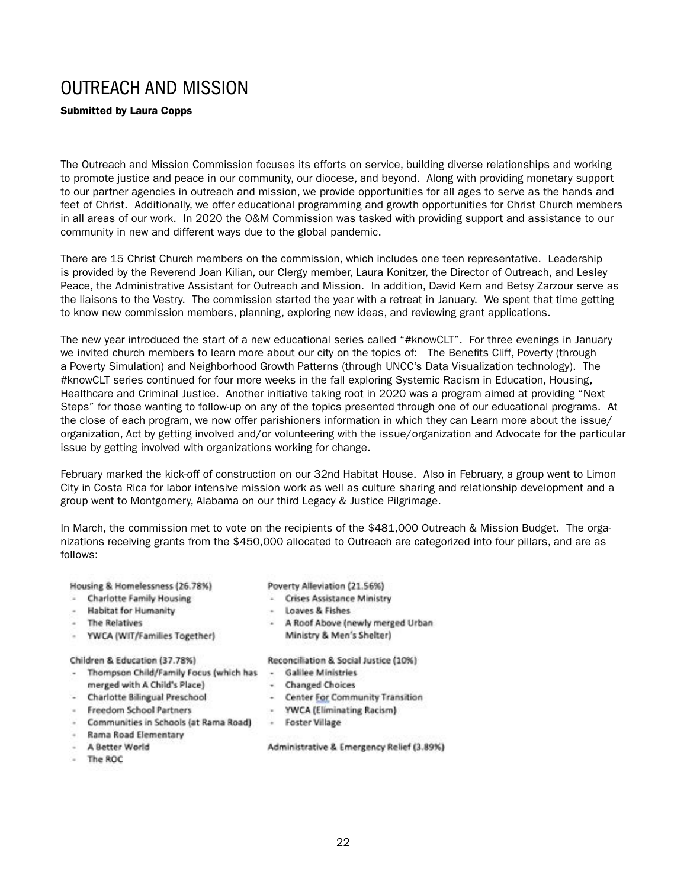### OUTREACH AND MISSION

### Submitted by Laura Copps

The Outreach and Mission Commission focuses its efforts on service, building diverse relationships and working to promote justice and peace in our community, our diocese, and beyond. Along with providing monetary support to our partner agencies in outreach and mission, we provide opportunities for all ages to serve as the hands and feet of Christ. Additionally, we offer educational programming and growth opportunities for Christ Church members in all areas of our work. In 2020 the O&M Commission was tasked with providing support and assistance to our community in new and different ways due to the global pandemic.

There are 15 Christ Church members on the commission, which includes one teen representative. Leadership is provided by the Reverend Joan Kilian, our Clergy member, Laura Konitzer, the Director of Outreach, and Lesley Peace, the Administrative Assistant for Outreach and Mission. In addition, David Kern and Betsy Zarzour serve as the liaisons to the Vestry. The commission started the year with a retreat in January. We spent that time getting to know new commission members, planning, exploring new ideas, and reviewing grant applications.

The new year introduced the start of a new educational series called "#knowCLT". For three evenings in January we invited church members to learn more about our city on the topics of: The Benefits Cliff, Poverty (through a Poverty Simulation) and Neighborhood Growth Patterns (through UNCC's Data Visualization technology). The #knowCLT series continued for four more weeks in the fall exploring Systemic Racism in Education, Housing, Healthcare and Criminal Justice. Another initiative taking root in 2020 was a program aimed at providing "Next Steps" for those wanting to follow-up on any of the topics presented through one of our educational programs. At the close of each program, we now offer parishioners information in which they can Learn more about the issue/ organization, Act by getting involved and/or volunteering with the issue/organization and Advocate for the particular issue by getting involved with organizations working for change.

February marked the kick-off of construction on our 32nd Habitat House. Also in February, a group went to Limon City in Costa Rica for labor intensive mission work as well as culture sharing and relationship development and a group went to Montgomery, Alabama on our third Legacy & Justice Pilgrimage.

In March, the commission met to vote on the recipients of the \$481,000 Outreach & Mission Budget. The organizations receiving grants from the \$450,000 allocated to Outreach are categorized into four pillars, and are as follows:

Housing & Homelessness (26.78%)

- Charlotte Family Housing
- **Habitat for Humanity**
- The Relatives
- YWCA (WIT/Families Together)

Children & Education (37.78%)

- Thompson Child/Family Focus (which has Galilee Ministries merged with A Child's Place)
- $\sim$ Charlotte Bilingual Preschool
- **Freedom School Partners**
- Communities in Schools (at Rama Road)
- Rama Road Elementary
- A Better World
- The ROC

Poverty Alleviation (21.56%)

- Crises Assistance Ministry
- Loaves & Fishes
- A Roof Above (newly merged Urban Ministry & Men's Shelter)

Reconciliation & Social Justice (10%)

- 
- Changed Choices
- Center For Community Transition
- **YWCA (Eliminating Racism)**
- Foster Village

Administrative & Emergency Relief (3.89%)

22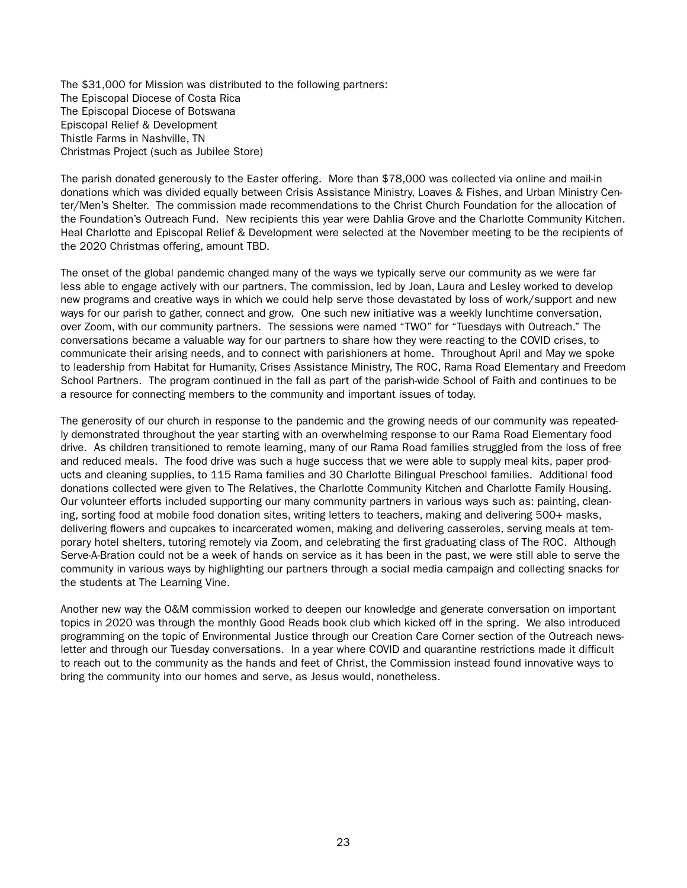The \$31,000 for Mission was distributed to the following partners: The Episcopal Diocese of Costa Rica The Episcopal Diocese of Botswana Episcopal Relief & Development Thistle Farms in Nashville, TN Christmas Project (such as Jubilee Store)

The parish donated generously to the Easter offering. More than \$78,000 was collected via online and mail-in donations which was divided equally between Crisis Assistance Ministry, Loaves & Fishes, and Urban Ministry Center/Men's Shelter. The commission made recommendations to the Christ Church Foundation for the allocation of the Foundation's Outreach Fund. New recipients this year were Dahlia Grove and the Charlotte Community Kitchen. Heal Charlotte and Episcopal Relief & Development were selected at the November meeting to be the recipients of the 2020 Christmas offering, amount TBD.

The onset of the global pandemic changed many of the ways we typically serve our community as we were far less able to engage actively with our partners. The commission, led by Joan, Laura and Lesley worked to develop new programs and creative ways in which we could help serve those devastated by loss of work/support and new ways for our parish to gather, connect and grow. One such new initiative was a weekly lunchtime conversation, over Zoom, with our community partners. The sessions were named "TWO" for "Tuesdays with Outreach." The conversations became a valuable way for our partners to share how they were reacting to the COVID crises, to communicate their arising needs, and to connect with parishioners at home. Throughout April and May we spoke to leadership from Habitat for Humanity, Crises Assistance Ministry, The ROC, Rama Road Elementary and Freedom School Partners. The program continued in the fall as part of the parish-wide School of Faith and continues to be a resource for connecting members to the community and important issues of today.

The generosity of our church in response to the pandemic and the growing needs of our community was repeatedly demonstrated throughout the year starting with an overwhelming response to our Rama Road Elementary food drive. As children transitioned to remote learning, many of our Rama Road families struggled from the loss of free and reduced meals. The food drive was such a huge success that we were able to supply meal kits, paper products and cleaning supplies, to 115 Rama families and 30 Charlotte Bilingual Preschool families. Additional food donations collected were given to The Relatives, the Charlotte Community Kitchen and Charlotte Family Housing. Our volunteer efforts included supporting our many community partners in various ways such as: painting, cleaning, sorting food at mobile food donation sites, writing letters to teachers, making and delivering 500+ masks, delivering flowers and cupcakes to incarcerated women, making and delivering casseroles, serving meals at temporary hotel shelters, tutoring remotely via Zoom, and celebrating the first graduating class of The ROC. Although Serve-A-Bration could not be a week of hands on service as it has been in the past, we were still able to serve the community in various ways by highlighting our partners through a social media campaign and collecting snacks for the students at The Learning Vine.

Another new way the O&M commission worked to deepen our knowledge and generate conversation on important topics in 2020 was through the monthly Good Reads book club which kicked off in the spring. We also introduced programming on the topic of Environmental Justice through our Creation Care Corner section of the Outreach newsletter and through our Tuesday conversations. In a year where COVID and quarantine restrictions made it difficult to reach out to the community as the hands and feet of Christ, the Commission instead found innovative ways to bring the community into our homes and serve, as Jesus would, nonetheless.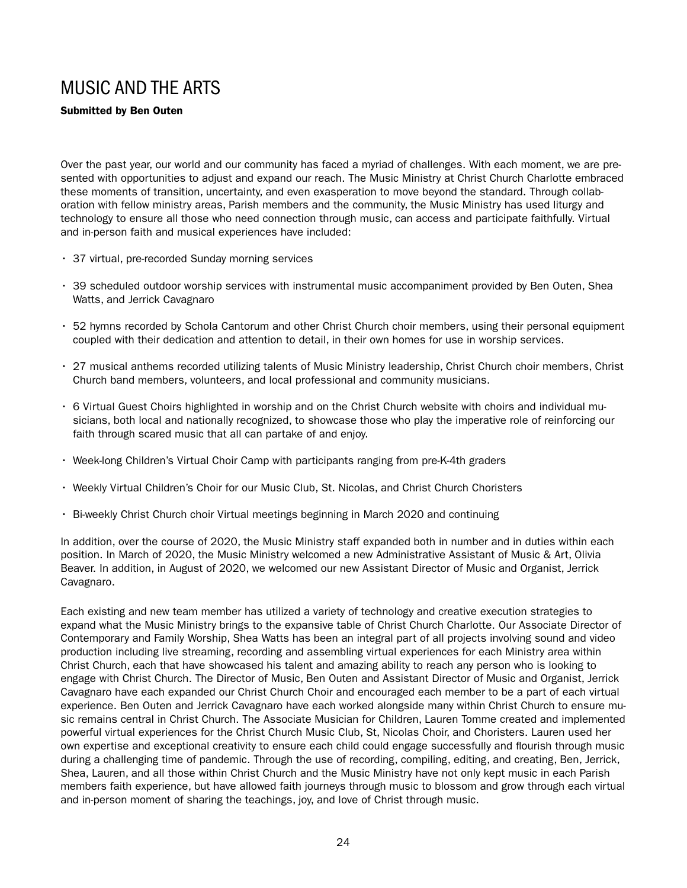# MUSIC AND THE ARTS

### Submitted by Ben Outen

Over the past year, our world and our community has faced a myriad of challenges. With each moment, we are presented with opportunities to adjust and expand our reach. The Music Ministry at Christ Church Charlotte embraced these moments of transition, uncertainty, and even exasperation to move beyond the standard. Through collaboration with fellow ministry areas, Parish members and the community, the Music Ministry has used liturgy and technology to ensure all those who need connection through music, can access and participate faithfully. Virtual and in-person faith and musical experiences have included:

- 37 virtual, pre-recorded Sunday morning services
- 39 scheduled outdoor worship services with instrumental music accompaniment provided by Ben Outen, Shea Watts, and Jerrick Cavagnaro
- 52 hymns recorded by Schola Cantorum and other Christ Church choir members, using their personal equipment coupled with their dedication and attention to detail, in their own homes for use in worship services.
- 27 musical anthems recorded utilizing talents of Music Ministry leadership, Christ Church choir members, Christ Church band members, volunteers, and local professional and community musicians.
- 6 Virtual Guest Choirs highlighted in worship and on the Christ Church website with choirs and individual musicians, both local and nationally recognized, to showcase those who play the imperative role of reinforcing our faith through scared music that all can partake of and enjoy.
- Week-long Children's Virtual Choir Camp with participants ranging from pre-K-4th graders
- Weekly Virtual Children's Choir for our Music Club, St. Nicolas, and Christ Church Choristers
- Bi-weekly Christ Church choir Virtual meetings beginning in March 2020 and continuing

In addition, over the course of 2020, the Music Ministry staff expanded both in number and in duties within each position. In March of 2020, the Music Ministry welcomed a new Administrative Assistant of Music & Art, Olivia Beaver. In addition, in August of 2020, we welcomed our new Assistant Director of Music and Organist, Jerrick Cavagnaro.

Each existing and new team member has utilized a variety of technology and creative execution strategies to expand what the Music Ministry brings to the expansive table of Christ Church Charlotte. Our Associate Director of Contemporary and Family Worship, Shea Watts has been an integral part of all projects involving sound and video production including live streaming, recording and assembling virtual experiences for each Ministry area within Christ Church, each that have showcased his talent and amazing ability to reach any person who is looking to engage with Christ Church. The Director of Music, Ben Outen and Assistant Director of Music and Organist, Jerrick Cavagnaro have each expanded our Christ Church Choir and encouraged each member to be a part of each virtual experience. Ben Outen and Jerrick Cavagnaro have each worked alongside many within Christ Church to ensure music remains central in Christ Church. The Associate Musician for Children, Lauren Tomme created and implemented powerful virtual experiences for the Christ Church Music Club, St, Nicolas Choir, and Choristers. Lauren used her own expertise and exceptional creativity to ensure each child could engage successfully and flourish through music during a challenging time of pandemic. Through the use of recording, compiling, editing, and creating, Ben, Jerrick, Shea, Lauren, and all those within Christ Church and the Music Ministry have not only kept music in each Parish members faith experience, but have allowed faith journeys through music to blossom and grow through each virtual and in-person moment of sharing the teachings, joy, and love of Christ through music.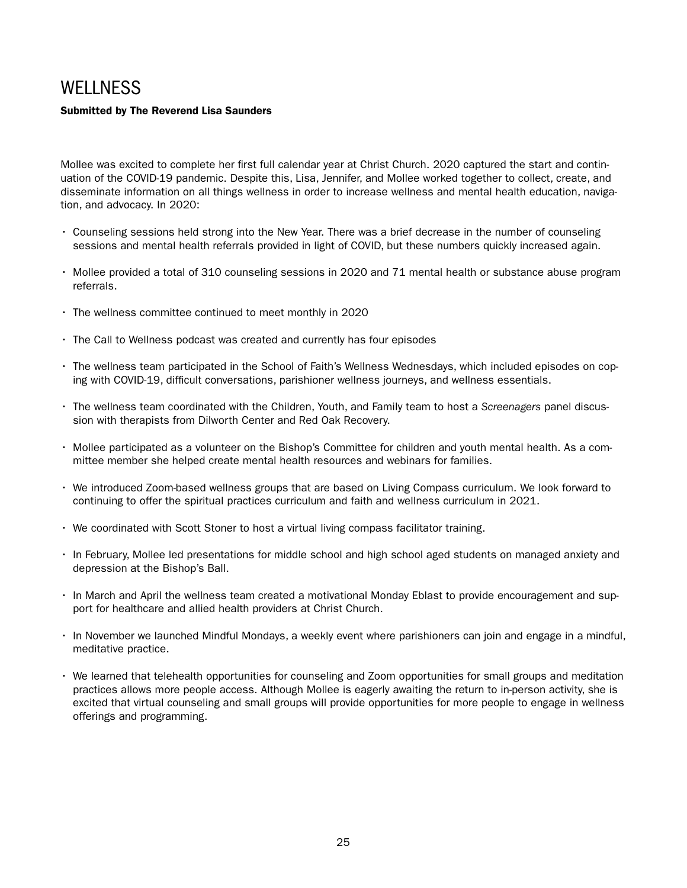## **WELLNESS**

### Submitted by The Reverend Lisa Saunders

Mollee was excited to complete her first full calendar year at Christ Church. 2020 captured the start and continuation of the COVID-19 pandemic. Despite this, Lisa, Jennifer, and Mollee worked together to collect, create, and disseminate information on all things wellness in order to increase wellness and mental health education, navigation, and advocacy. In 2020:

- Counseling sessions held strong into the New Year. There was a brief decrease in the number of counseling sessions and mental health referrals provided in light of COVID, but these numbers quickly increased again.
- Mollee provided a total of 310 counseling sessions in 2020 and 71 mental health or substance abuse program referrals.
- The wellness committee continued to meet monthly in 2020
- The Call to Wellness podcast was created and currently has four episodes
- The wellness team participated in the School of Faith's Wellness Wednesdays, which included episodes on coping with COVID-19, difficult conversations, parishioner wellness journeys, and wellness essentials.
- The wellness team coordinated with the Children, Youth, and Family team to host a *Screenagers* panel discussion with therapists from Dilworth Center and Red Oak Recovery.
- Mollee participated as a volunteer on the Bishop's Committee for children and youth mental health. As a committee member she helped create mental health resources and webinars for families.
- We introduced Zoom-based wellness groups that are based on Living Compass curriculum. We look forward to continuing to offer the spiritual practices curriculum and faith and wellness curriculum in 2021.
- We coordinated with Scott Stoner to host a virtual living compass facilitator training.
- In February, Mollee led presentations for middle school and high school aged students on managed anxiety and depression at the Bishop's Ball.
- In March and April the wellness team created a motivational Monday Eblast to provide encouragement and support for healthcare and allied health providers at Christ Church.
- In November we launched Mindful Mondays, a weekly event where parishioners can join and engage in a mindful, meditative practice.
- We learned that telehealth opportunities for counseling and Zoom opportunities for small groups and meditation practices allows more people access. Although Mollee is eagerly awaiting the return to in-person activity, she is excited that virtual counseling and small groups will provide opportunities for more people to engage in wellness offerings and programming.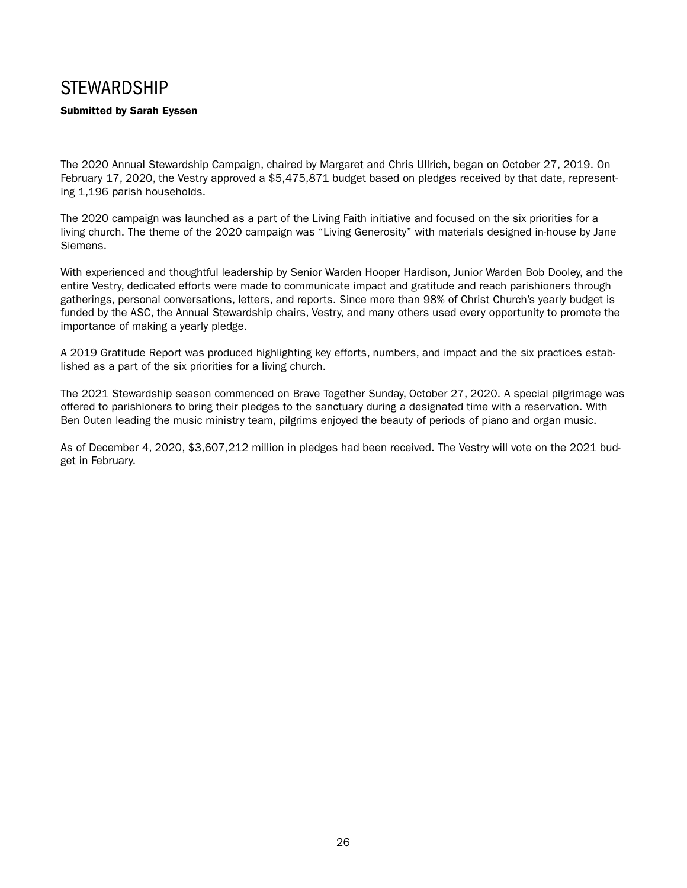### **STEWARDSHIP**

### Submitted by Sarah Eyssen

The 2020 Annual Stewardship Campaign, chaired by Margaret and Chris Ullrich, began on October 27, 2019. On February 17, 2020, the Vestry approved a \$5,475,871 budget based on pledges received by that date, representing 1,196 parish households.

The 2020 campaign was launched as a part of the Living Faith initiative and focused on the six priorities for a living church. The theme of the 2020 campaign was "Living Generosity" with materials designed in-house by Jane Siemens.

With experienced and thoughtful leadership by Senior Warden Hooper Hardison, Junior Warden Bob Dooley, and the entire Vestry, dedicated efforts were made to communicate impact and gratitude and reach parishioners through gatherings, personal conversations, letters, and reports. Since more than 98% of Christ Church's yearly budget is funded by the ASC, the Annual Stewardship chairs, Vestry, and many others used every opportunity to promote the importance of making a yearly pledge.

A 2019 Gratitude Report was produced highlighting key efforts, numbers, and impact and the six practices established as a part of the six priorities for a living church.

The 2021 Stewardship season commenced on Brave Together Sunday, October 27, 2020. A special pilgrimage was offered to parishioners to bring their pledges to the sanctuary during a designated time with a reservation. With Ben Outen leading the music ministry team, pilgrims enjoyed the beauty of periods of piano and organ music.

As of December 4, 2020, \$3,607,212 million in pledges had been received. The Vestry will vote on the 2021 budget in February.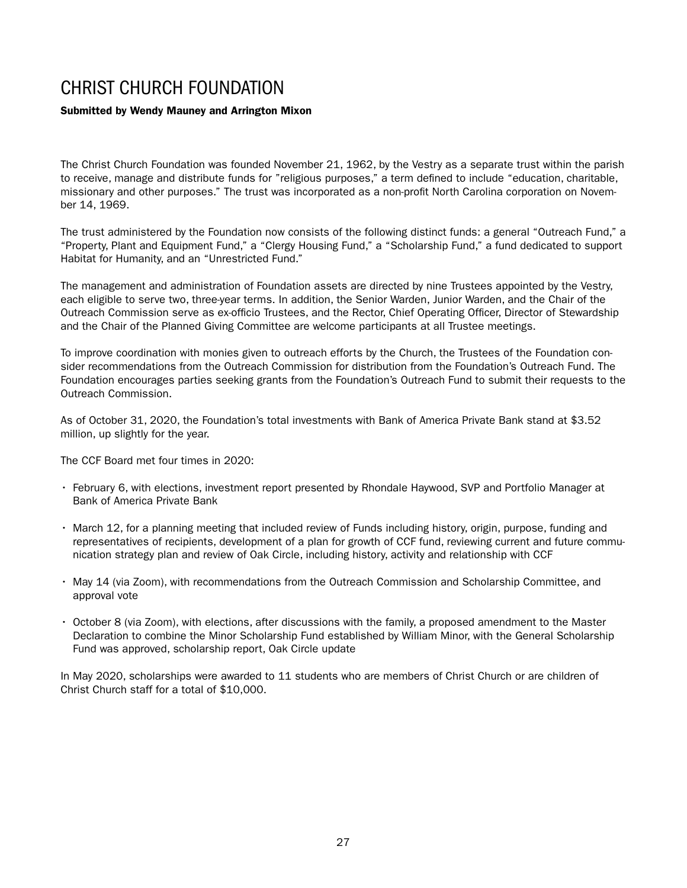### CHRIST CHURCH FOUNDATION

### Submitted by Wendy Mauney and Arrington Mixon

The Christ Church Foundation was founded November 21, 1962, by the Vestry as a separate trust within the parish to receive, manage and distribute funds for "religious purposes," a term defined to include "education, charitable, missionary and other purposes." The trust was incorporated as a non-profit North Carolina corporation on November 14, 1969.

The trust administered by the Foundation now consists of the following distinct funds: a general "Outreach Fund," a "Property, Plant and Equipment Fund," a "Clergy Housing Fund," a "Scholarship Fund," a fund dedicated to support Habitat for Humanity, and an "Unrestricted Fund."

The management and administration of Foundation assets are directed by nine Trustees appointed by the Vestry, each eligible to serve two, three-year terms. In addition, the Senior Warden, Junior Warden, and the Chair of the Outreach Commission serve as ex-officio Trustees, and the Rector, Chief Operating Officer, Director of Stewardship and the Chair of the Planned Giving Committee are welcome participants at all Trustee meetings.

To improve coordination with monies given to outreach efforts by the Church, the Trustees of the Foundation consider recommendations from the Outreach Commission for distribution from the Foundation's Outreach Fund. The Foundation encourages parties seeking grants from the Foundation's Outreach Fund to submit their requests to the Outreach Commission.

As of October 31, 2020, the Foundation's total investments with Bank of America Private Bank stand at \$3.52 million, up slightly for the year.

The CCF Board met four times in 2020:

- February 6, with elections, investment report presented by Rhondale Haywood, SVP and Portfolio Manager at Bank of America Private Bank
- March 12, for a planning meeting that included review of Funds including history, origin, purpose, funding and representatives of recipients, development of a plan for growth of CCF fund, reviewing current and future communication strategy plan and review of Oak Circle, including history, activity and relationship with CCF
- May 14 (via Zoom), with recommendations from the Outreach Commission and Scholarship Committee, and approval vote
- October 8 (via Zoom), with elections, after discussions with the family, a proposed amendment to the Master Declaration to combine the Minor Scholarship Fund established by William Minor, with the General Scholarship Fund was approved, scholarship report, Oak Circle update

In May 2020, scholarships were awarded to 11 students who are members of Christ Church or are children of Christ Church staff for a total of \$10,000.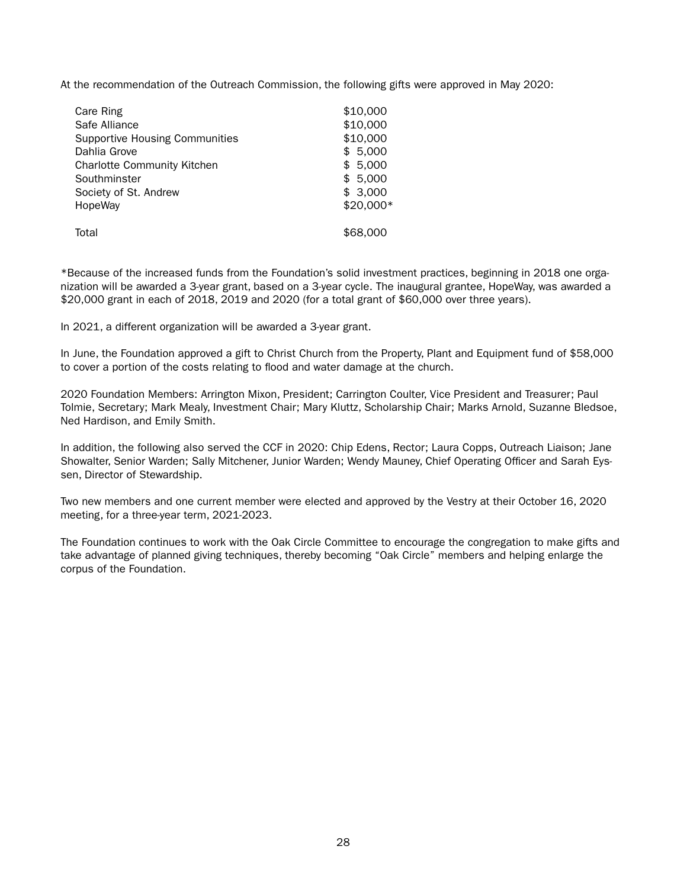At the recommendation of the Outreach Commission, the following gifts were approved in May 2020:

| Care Ring                             | \$10,000  |
|---------------------------------------|-----------|
| Safe Alliance                         | \$10,000  |
| <b>Supportive Housing Communities</b> | \$10,000  |
| Dahlia Grove                          | \$5,000   |
| <b>Charlotte Community Kitchen</b>    | \$5,000   |
| Southminster                          | \$5,000   |
| Society of St. Andrew                 | \$3,000   |
| HopeWay                               | \$20,000* |
| Total                                 | \$68,000  |

\*Because of the increased funds from the Foundation's solid investment practices, beginning in 2018 one organization will be awarded a 3-year grant, based on a 3-year cycle. The inaugural grantee, HopeWay, was awarded a \$20,000 grant in each of 2018, 2019 and 2020 (for a total grant of \$60,000 over three years).

In 2021, a different organization will be awarded a 3-year grant.

In June, the Foundation approved a gift to Christ Church from the Property, Plant and Equipment fund of \$58,000 to cover a portion of the costs relating to flood and water damage at the church.

2020 Foundation Members: Arrington Mixon, President; Carrington Coulter, Vice President and Treasurer; Paul Tolmie, Secretary; Mark Mealy, Investment Chair; Mary Kluttz, Scholarship Chair; Marks Arnold, Suzanne Bledsoe, Ned Hardison, and Emily Smith.

In addition, the following also served the CCF in 2020: Chip Edens, Rector; Laura Copps, Outreach Liaison; Jane Showalter, Senior Warden; Sally Mitchener, Junior Warden; Wendy Mauney, Chief Operating Officer and Sarah Eyssen, Director of Stewardship.

Two new members and one current member were elected and approved by the Vestry at their October 16, 2020 meeting, for a three-year term, 2021-2023.

The Foundation continues to work with the Oak Circle Committee to encourage the congregation to make gifts and take advantage of planned giving techniques, thereby becoming "Oak Circle" members and helping enlarge the corpus of the Foundation.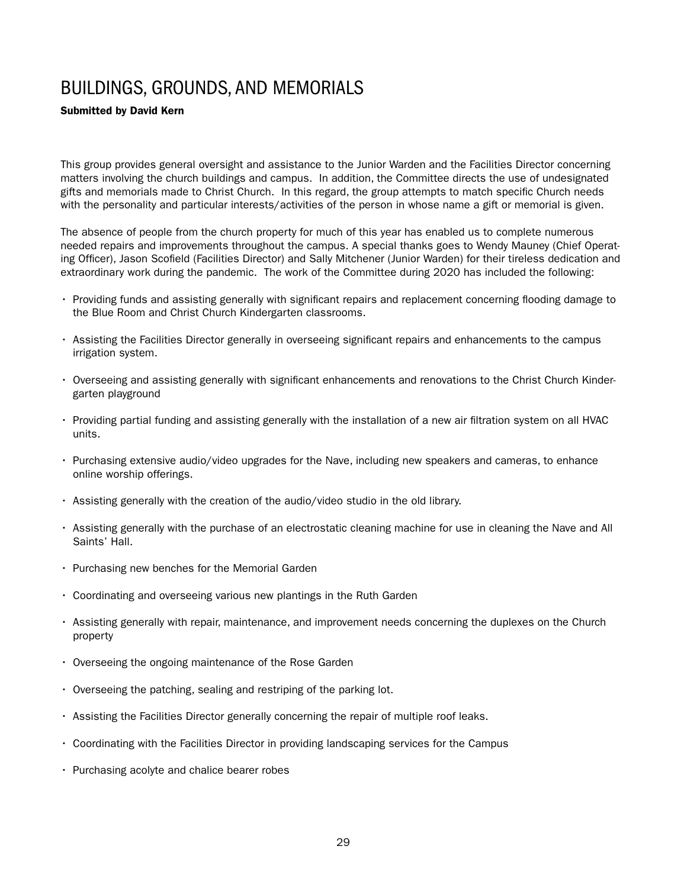# BUILDINGS, GROUNDS, AND MEMORIALS

#### Submitted by David Kern

This group provides general oversight and assistance to the Junior Warden and the Facilities Director concerning matters involving the church buildings and campus. In addition, the Committee directs the use of undesignated gifts and memorials made to Christ Church. In this regard, the group attempts to match specific Church needs with the personality and particular interests/activities of the person in whose name a gift or memorial is given.

The absence of people from the church property for much of this year has enabled us to complete numerous needed repairs and improvements throughout the campus. A special thanks goes to Wendy Mauney (Chief Operating Officer), Jason Scofield (Facilities Director) and Sally Mitchener (Junior Warden) for their tireless dedication and extraordinary work during the pandemic. The work of the Committee during 2020 has included the following:

- Providing funds and assisting generally with significant repairs and replacement concerning flooding damage to the Blue Room and Christ Church Kindergarten classrooms.
- Assisting the Facilities Director generally in overseeing significant repairs and enhancements to the campus irrigation system.
- Overseeing and assisting generally with significant enhancements and renovations to the Christ Church Kindergarten playground
- Providing partial funding and assisting generally with the installation of a new air filtration system on all HVAC units.
- Purchasing extensive audio/video upgrades for the Nave, including new speakers and cameras, to enhance online worship offerings.
- Assisting generally with the creation of the audio/video studio in the old library.
- Assisting generally with the purchase of an electrostatic cleaning machine for use in cleaning the Nave and All Saints' Hall.
- Purchasing new benches for the Memorial Garden
- Coordinating and overseeing various new plantings in the Ruth Garden
- Assisting generally with repair, maintenance, and improvement needs concerning the duplexes on the Church property
- Overseeing the ongoing maintenance of the Rose Garden
- Overseeing the patching, sealing and restriping of the parking lot.
- Assisting the Facilities Director generally concerning the repair of multiple roof leaks.
- Coordinating with the Facilities Director in providing landscaping services for the Campus
- Purchasing acolyte and chalice bearer robes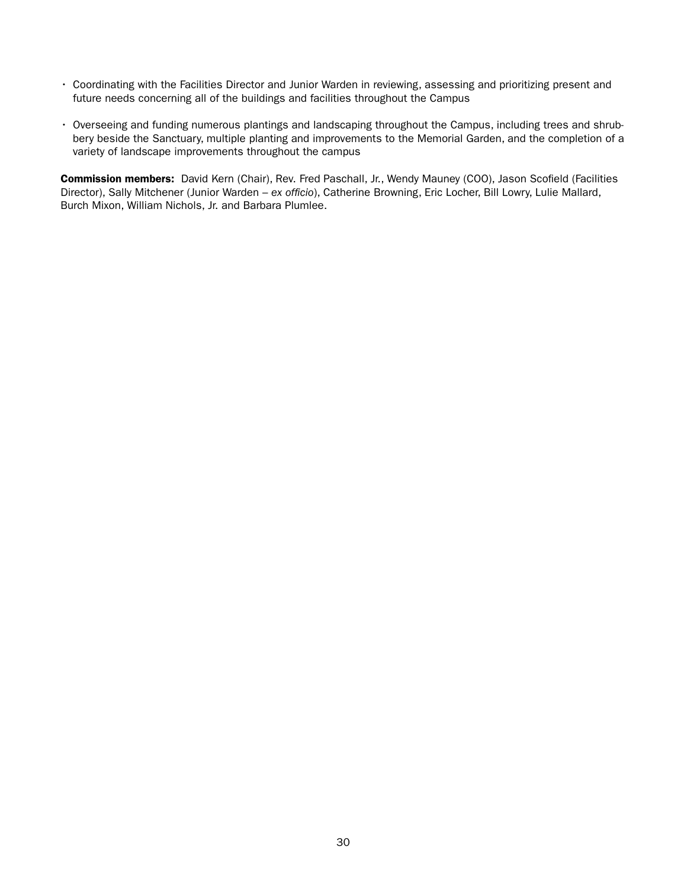- Coordinating with the Facilities Director and Junior Warden in reviewing, assessing and prioritizing present and future needs concerning all of the buildings and facilities throughout the Campus
- Overseeing and funding numerous plantings and landscaping throughout the Campus, including trees and shrubbery beside the Sanctuary, multiple planting and improvements to the Memorial Garden, and the completion of a variety of landscape improvements throughout the campus

Commission members: David Kern (Chair), Rev. Fred Paschall, Jr., Wendy Mauney (COO), Jason Scofield (Facilities Director), Sally Mitchener (Junior Warden – *ex officio*), Catherine Browning, Eric Locher, Bill Lowry, Lulie Mallard, Burch Mixon, William Nichols, Jr. and Barbara Plumlee.